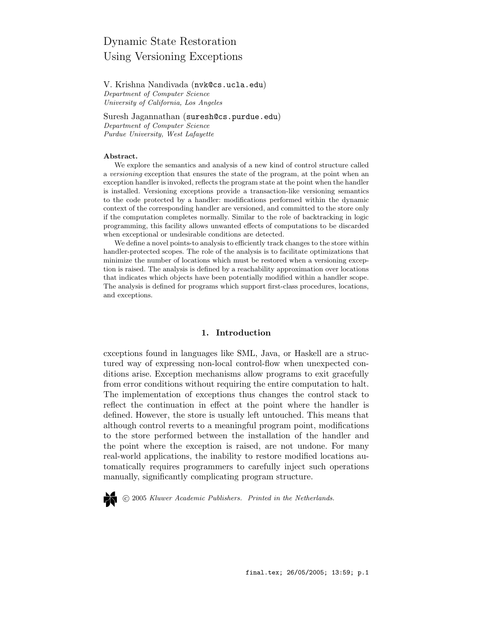# Dynamic State Restoration Using Versioning Exceptions

V. Krishna Nandivada (nvk@cs.ucla.edu) Department of Computer Science University of California, Los Angeles

Suresh Jagannathan (suresh@cs.purdue.edu) Department of Computer Science Purdue University, West Lafayette

#### Abstract.

We explore the semantics and analysis of a new kind of control structure called a versioning exception that ensures the state of the program, at the point when an exception handler is invoked, reflects the program state at the point when the handler is installed. Versioning exceptions provide a transaction-like versioning semantics to the code protected by a handler: modifications performed within the dynamic context of the corresponding handler are versioned, and committed to the store only if the computation completes normally. Similar to the role of backtracking in logic programming, this facility allows unwanted effects of computations to be discarded when exceptional or undesirable conditions are detected.

We define a novel points-to analysis to efficiently track changes to the store within handler-protected scopes. The role of the analysis is to facilitate optimizations that minimize the number of locations which must be restored when a versioning exception is raised. The analysis is defined by a reachability approximation over locations that indicates which objects have been potentially modified within a handler scope. The analysis is defined for programs which support first-class procedures, locations, and exceptions.

## 1. Introduction

cxceptions found in languages like SML, Java, or Haskell are a structured way of expressing non-local control-flow when unexpected conditions arise. Exception mechanisms allow programs to exit gracefully from error conditions without requiring the entire computation to halt. The implementation of exceptions thus changes the control stack to reflect the continuation in effect at the point where the handler is defined. However, the store is usually left untouched. This means that although control reverts to a meaningful program point, modifications to the store performed between the installation of the handler and the point where the exception is raised, are not undone. For many real-world applications, the inability to restore modified locations automatically requires programmers to carefully inject such operations manually, significantly complicating program structure.



**C** 2005 Kluwer Academic Publishers. Printed in the Netherlands.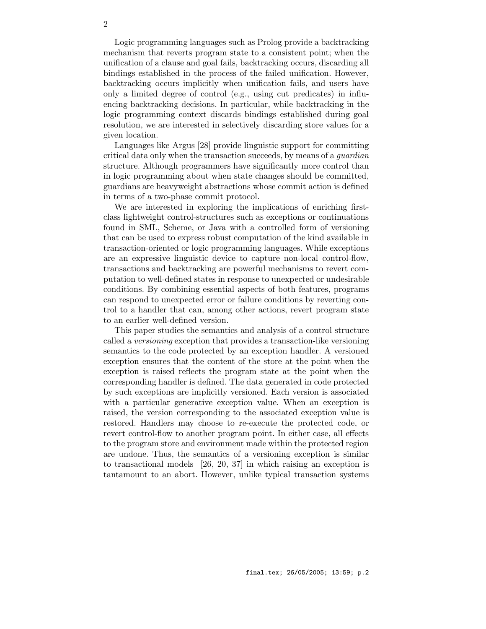Logic programming languages such as Prolog provide a backtracking mechanism that reverts program state to a consistent point; when the unification of a clause and goal fails, backtracking occurs, discarding all bindings established in the process of the failed unification. However, backtracking occurs implicitly when unification fails, and users have only a limited degree of control (e.g., using cut predicates) in influencing backtracking decisions. In particular, while backtracking in the logic programming context discards bindings established during goal resolution, we are interested in selectively discarding store values for a given location.

Languages like Argus [28] provide linguistic support for committing critical data only when the transaction succeeds, by means of a guardian structure. Although programmers have significantly more control than in logic programming about when state changes should be committed, guardians are heavyweight abstractions whose commit action is defined in terms of a two-phase commit protocol.

We are interested in exploring the implications of enriching firstclass lightweight control-structures such as exceptions or continuations found in SML, Scheme, or Java with a controlled form of versioning that can be used to express robust computation of the kind available in transaction-oriented or logic programming languages. While exceptions are an expressive linguistic device to capture non-local control-flow, transactions and backtracking are powerful mechanisms to revert computation to well-defined states in response to unexpected or undesirable conditions. By combining essential aspects of both features, programs can respond to unexpected error or failure conditions by reverting control to a handler that can, among other actions, revert program state to an earlier well-defined version.

This paper studies the semantics and analysis of a control structure called a versioning exception that provides a transaction-like versioning semantics to the code protected by an exception handler. A versioned exception ensures that the content of the store at the point when the exception is raised reflects the program state at the point when the corresponding handler is defined. The data generated in code protected by such exceptions are implicitly versioned. Each version is associated with a particular generative exception value. When an exception is raised, the version corresponding to the associated exception value is restored. Handlers may choose to re-execute the protected code, or revert control-flow to another program point. In either case, all effects to the program store and environment made within the protected region are undone. Thus, the semantics of a versioning exception is similar to transactional models [26, 20, 37] in which raising an exception is tantamount to an abort. However, unlike typical transaction systems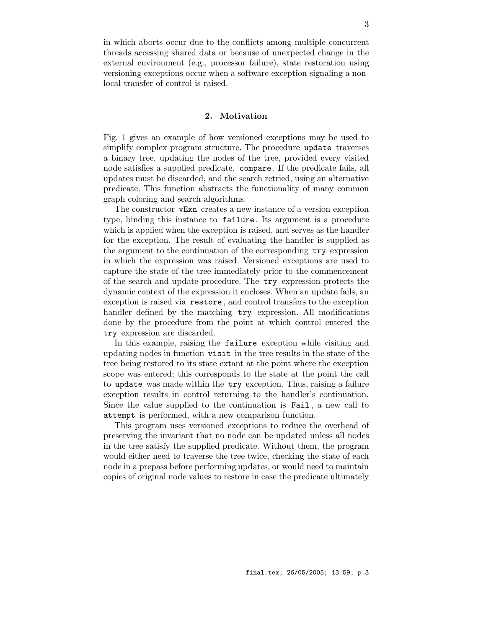in which aborts occur due to the conflicts among multiple concurrent threads accessing shared data or because of unexpected change in the external environment (e.g., processor failure), state restoration using versioning exceptions occur when a software exception signaling a nonlocal transfer of control is raised.

# 2. Motivation

Fig. 1 gives an example of how versioned exceptions may be used to simplify complex program structure. The procedure update traverses a binary tree, updating the nodes of the tree, provided every visited node satisfies a supplied predicate, compare . If the predicate fails, all updates must be discarded, and the search retried, using an alternative predicate. This function abstracts the functionality of many common graph coloring and search algorithms.

The constructor vExn creates a new instance of a version exception type, binding this instance to failure . Its argument is a procedure which is applied when the exception is raised, and serves as the handler for the exception. The result of evaluating the handler is supplied as the argument to the continuation of the corresponding try expression in which the expression was raised. Versioned exceptions are used to capture the state of the tree immediately prior to the commencement of the search and update procedure. The try expression protects the dynamic context of the expression it encloses. When an update fails, an exception is raised via restore , and control transfers to the exception handler defined by the matching try expression. All modifications done by the procedure from the point at which control entered the try expression are discarded.

In this example, raising the failure exception while visiting and updating nodes in function visit in the tree results in the state of the tree being restored to its state extant at the point where the exception scope was entered; this corresponds to the state at the point the call to update was made within the try exception. Thus, raising a failure exception results in control returning to the handler's continuation. Since the value supplied to the continuation is Fail , a new call to attempt is performed, with a new comparison function.

This program uses versioned exceptions to reduce the overhead of preserving the invariant that no node can be updated unless all nodes in the tree satisfy the supplied predicate. Without them, the program would either need to traverse the tree twice, checking the state of each node in a prepass before performing updates, or would need to maintain copies of original node values to restore in case the predicate ultimately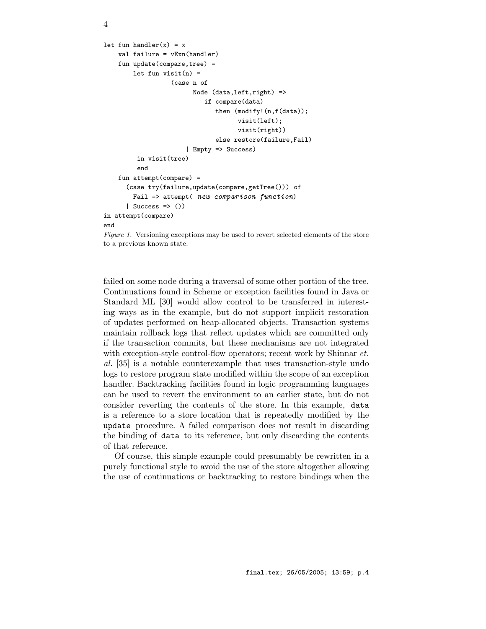```
let fun handler(x) = xval failure = vExn(handler)
    fun update(compare,tree) =
        let fun visit(n) =
                  (case n of
                        Node (data,left,right) =>
                           if compare(data)
                              then (modify!(n,f(data));
                                    visit(left);
                                     visit(right))
                               else restore(failure,Fail)
                      | Empty => Success)
         in visit(tree)
         end
    fun attempt(compare) =
      (case try(failure,update(compare,getTree())) of
        Fail => attempt( new comparison function)
      | Success => ())
in attempt(compare)
end
```
4

Figure 1. Versioning exceptions may be used to revert selected elements of the store to a previous known state.

failed on some node during a traversal of some other portion of the tree. Continuations found in Scheme or exception facilities found in Java or Standard ML [30] would allow control to be transferred in interesting ways as in the example, but do not support implicit restoration of updates performed on heap-allocated objects. Transaction systems maintain rollback logs that reflect updates which are committed only if the transaction commits, but these mechanisms are not integrated with exception-style control-flow operators; recent work by Shinnar *et*. al. [35] is a notable counterexample that uses transaction-style undo logs to restore program state modified within the scope of an exception handler. Backtracking facilities found in logic programming languages can be used to revert the environment to an earlier state, but do not consider reverting the contents of the store. In this example, data is a reference to a store location that is repeatedly modified by the update procedure. A failed comparison does not result in discarding the binding of data to its reference, but only discarding the contents of that reference.

Of course, this simple example could presumably be rewritten in a purely functional style to avoid the use of the store altogether allowing the use of continuations or backtracking to restore bindings when the

final.tex; 26/05/2005; 13:59; p.4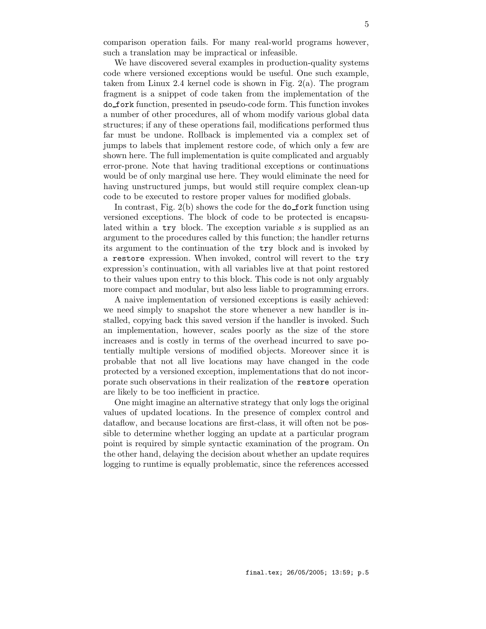comparison operation fails. For many real-world programs however, such a translation may be impractical or infeasible.

We have discovered several examples in production-quality systems code where versioned exceptions would be useful. One such example, taken from Linux 2.4 kernel code is shown in Fig. 2(a). The program fragment is a snippet of code taken from the implementation of the do fork function, presented in pseudo-code form. This function invokes a number of other procedures, all of whom modify various global data structures; if any of these operations fail, modifications performed thus far must be undone. Rollback is implemented via a complex set of jumps to labels that implement restore code, of which only a few are shown here. The full implementation is quite complicated and arguably error-prone. Note that having traditional exceptions or continuations would be of only marginal use here. They would eliminate the need for having unstructured jumps, but would still require complex clean-up code to be executed to restore proper values for modified globals.

In contrast, Fig.  $2(b)$  shows the code for the **do\_fork** function using versioned exceptions. The block of code to be protected is encapsulated within a try block. The exception variable s is supplied as an argument to the procedures called by this function; the handler returns its argument to the continuation of the try block and is invoked by a restore expression. When invoked, control will revert to the try expression's continuation, with all variables live at that point restored to their values upon entry to this block. This code is not only arguably more compact and modular, but also less liable to programming errors.

A naive implementation of versioned exceptions is easily achieved: we need simply to snapshot the store whenever a new handler is installed, copying back this saved version if the handler is invoked. Such an implementation, however, scales poorly as the size of the store increases and is costly in terms of the overhead incurred to save potentially multiple versions of modified objects. Moreover since it is probable that not all live locations may have changed in the code protected by a versioned exception, implementations that do not incorporate such observations in their realization of the restore operation are likely to be too inefficient in practice.

One might imagine an alternative strategy that only logs the original values of updated locations. In the presence of complex control and dataflow, and because locations are first-class, it will often not be possible to determine whether logging an update at a particular program point is required by simple syntactic examination of the program. On the other hand, delaying the decision about whether an update requires logging to runtime is equally problematic, since the references accessed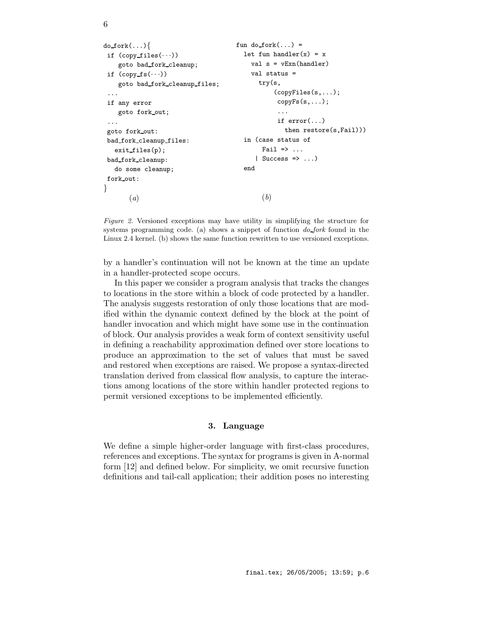```
do fork(...){
 if (copy_{files}(\cdots))goto bad fork cleanup;
 if (copy fs(··))goto bad fork cleanup files;
 ...
 if any error
    goto fork out;
 ...
 goto fork out:
 bad fork cleanup files:
   exit files(p);
bad fork cleanup:
   do some cleanup;
 fork out:
}
       (a)
                                       fun do fork(...) =
                                         let fun handler(x) = xval s = vExn(handler)val status =
                                              try(s,
                                                  (copyFiles(s,...);
                                                   copyFs(s,...);
                                                   ...
                                                   if error(...)
                                                      then restore(s,Fail)))
                                         in (case status of
                                               Fail \Rightarrow ...
                                             | Success \Rightarrow ...)
                                         end
                                               (b)
```
6

Figure 2. Versioned exceptions may have utility in simplifying the structure for systems programming code. (a) shows a snippet of function  $do$ -fork found in the Linux 2.4 kernel. (b) shows the same function rewritten to use versioned exceptions.

by a handler's continuation will not be known at the time an update in a handler-protected scope occurs.

In this paper we consider a program analysis that tracks the changes to locations in the store within a block of code protected by a handler. The analysis suggests restoration of only those locations that are modified within the dynamic context defined by the block at the point of handler invocation and which might have some use in the continuation of block. Our analysis provides a weak form of context sensitivity useful in defining a reachability approximation defined over store locations to produce an approximation to the set of values that must be saved and restored when exceptions are raised. We propose a syntax-directed translation derived from classical flow analysis, to capture the interactions among locations of the store within handler protected regions to permit versioned exceptions to be implemented efficiently.

## 3. Language

We define a simple higher-order language with first-class procedures, references and exceptions. The syntax for programs is given in A-normal form [12] and defined below. For simplicity, we omit recursive function definitions and tail-call application; their addition poses no interesting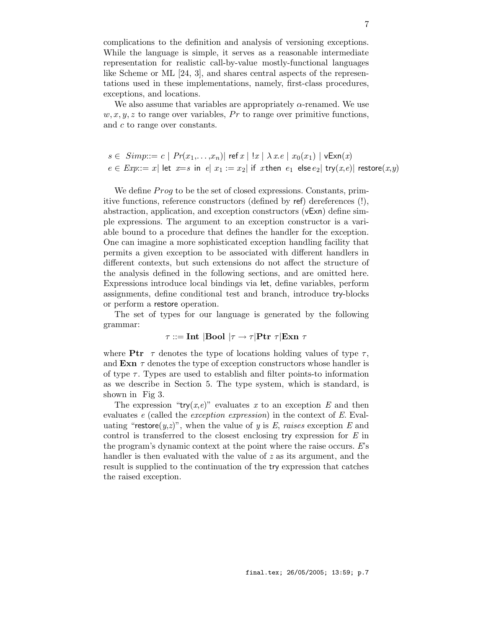complications to the definition and analysis of versioning exceptions. While the language is simple, it serves as a reasonable intermediate representation for realistic call-by-value mostly-functional languages like Scheme or ML [24, 3], and shares central aspects of the representations used in these implementations, namely, first-class procedures, exceptions, and locations.

We also assume that variables are appropriately  $\alpha$ -renamed. We use  $w, x, y, z$  to range over variables, Pr to range over primitive functions, and c to range over constants.

$$
s \in \text{ Simp::= } c \mid \text{Pr}(x_1, \ldots, x_n) | \text{ ref } x \mid \exists x \mid \lambda x. e \mid x_0(x_1) \mid \text{vExn}(x)
$$
\n
$$
e \in \text{ Exp::= } x | \text{ let } x = s \text{ in } e | x_1 := x_2 | \text{ if } x \text{ then } e_1 \text{ else } e_2 | \text{ try}(x, e) | \text{ restore}(x, y)
$$

We define  $Proof$  to be the set of closed expressions. Constants, primitive functions, reference constructors (defined by ref) dereferences (!), abstraction, application, and exception constructors (vExn) define simple expressions. The argument to an exception constructor is a variable bound to a procedure that defines the handler for the exception. One can imagine a more sophisticated exception handling facility that permits a given exception to be associated with different handlers in different contexts, but such extensions do not affect the structure of the analysis defined in the following sections, and are omitted here. Expressions introduce local bindings via let, define variables, perform assignments, define conditional test and branch, introduce try-blocks or perform a restore operation.

The set of types for our language is generated by the following grammar:

$$
\tau ::= \textbf{Int } | \textbf{Bool } | \tau \to \tau | \textbf{Ptr } \tau | \textbf{Exn } \tau
$$

where Ptr  $\tau$  denotes the type of locations holding values of type  $\tau$ , and  $\text{Exn} \tau$  denotes the type of exception constructors whose handler is of type  $\tau$ . Types are used to establish and filter points-to information as we describe in Section 5. The type system, which is standard, is shown in Fig 3.

The expression " $try(x,e)$ " evaluates x to an exception E and then evaluates e (called the exception expression) in the context of E. Evaluating "restore( $y,z$ )", when the value of y is E, raises exception E and control is transferred to the closest enclosing try expression for  $E$  in the program's dynamic context at the point where the raise occurs.  $E$ 's handler is then evaluated with the value of z as its argument, and the result is supplied to the continuation of the try expression that catches the raised exception.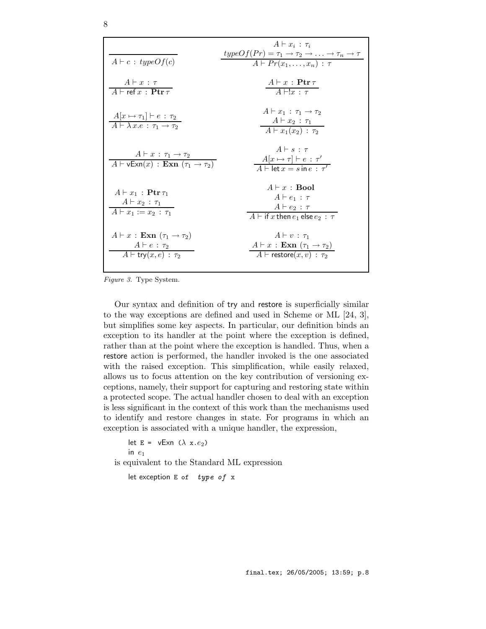| $A \vdash c : typeOf(c)$                                                                                            | $A \vdash x_i : \tau_i$<br>$typeOf(Pr) = \tau_1 \rightarrow \tau_2 \rightarrow \ldots \rightarrow \tau_n \rightarrow \tau$<br>$A \vdash Pr(x_1, \ldots, x_n) : \tau$ |
|---------------------------------------------------------------------------------------------------------------------|----------------------------------------------------------------------------------------------------------------------------------------------------------------------|
| $A \vdash x : \tau$<br>$A \vdash \mathsf{ref}\, x : \mathbf{Ptr}\, \tau$                                            | $A \vdash x : \mathbf{Ptr } \tau$<br>$A \vdash !x : \tau$                                                                                                            |
| $A[x \mapsto \tau_1] \vdash e : \tau_2$<br>$\overline{A \vdash \lambda x}$ . $e : \tau_1 \rightarrow \tau_2$        | $A \vdash x_1 : \tau_1 \rightarrow \tau_2$<br>$A \vdash x_2 : \tau_1$<br>$\frac{1}{A\vdash x_1(x_2) : \tau_2}$                                                       |
| $A \vdash x : \tau_1 \rightarrow \tau_2$<br>$A \vdash v \mathsf{Exn}(x) : \mathbf{Exn}(\tau_1 \to \tau_2)$          | $A \vdash s : \tau$<br>$A[x \mapsto \tau] \vdash e : \tau'$<br>$A \vdash \text{let } x = s \text{ in } e : \tau'$                                                    |
| $A \vdash x_1 : \mathbf{Ptr } \tau_1$<br>$A \vdash x_2 : \tau_1$<br>$A \vdash x_1 := x_2 : \tau_1$                  | $A \vdash x : \textbf{Bool}$<br>$A \vdash e_1 : \tau$<br>$A \vdash e_2 : \tau$<br>$A \vdash$ if x then $e_1$ else $e_2 : \tau$                                       |
| $A \vdash x : \mathbf{Exn}$ $(\tau_1 \rightarrow \tau_2)$<br>$A \vdash e : \tau_2$<br>$A \vdash try(x, e) : \tau_2$ | $A \vdash v : \tau_1$<br>$A \vdash x : \mathbf{Exn}$ $(\tau_1 \rightarrow \tau_2)$<br>$A \vdash$ restore $(x, v) : \tau_2$                                           |

Figure 3. Type System.

Our syntax and definition of try and restore is superficially similar to the way exceptions are defined and used in Scheme or ML [24, 3], but simplifies some key aspects. In particular, our definition binds an exception to its handler at the point where the exception is defined, rather than at the point where the exception is handled. Thus, when a restore action is performed, the handler invoked is the one associated with the raised exception. This simplification, while easily relaxed, allows us to focus attention on the key contribution of versioning exceptions, namely, their support for capturing and restoring state within a protected scope. The actual handler chosen to deal with an exception is less significant in the context of this work than the mechanisms used to identify and restore changes in state. For programs in which an exception is associated with a unique handler, the expression,

let E =  $vExn$  ( $\lambda$  x.e<sub>2</sub>) in  $e_1$ is equivalent to the Standard ML expression

let exception  $E$  of  $type$  of  $x$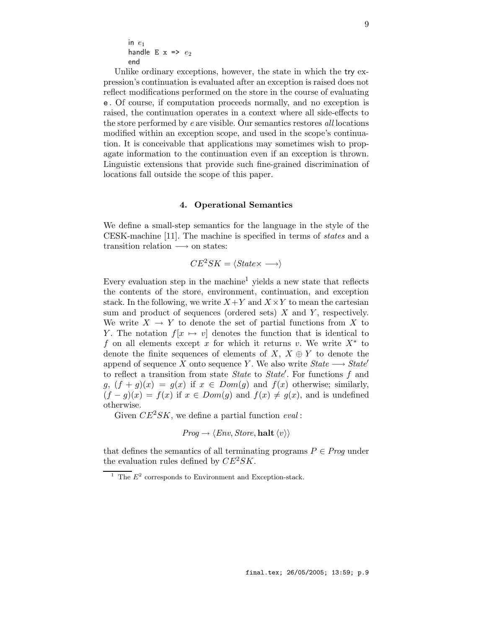in  $e_1$ handle E  $x \Rightarrow e_2$ end

Unlike ordinary exceptions, however, the state in which the try expression's continuation is evaluated after an exception is raised does not reflect modifications performed on the store in the course of evaluating e . Of course, if computation proceeds normally, and no exception is raised, the continuation operates in a context where all side-effects to the store performed by e are visible. Our semantics restores all locations modified within an exception scope, and used in the scope's continuation. It is conceivable that applications may sometimes wish to propagate information to the continuation even if an exception is thrown. Linguistic extensions that provide such fine-grained discrimination of locations fall outside the scope of this paper.

#### 4. Operational Semantics

We define a small-step semantics for the language in the style of the CESK-machine [11]. The machine is specified in terms of states and a transition relation −→ on states:

$$
CE^2SK = \langle State \times \longrightarrow \rangle
$$

Every evaluation step in the machine<sup>1</sup> yields a new state that reflects the contents of the store, environment, continuation, and exception stack. In the following, we write  $X+Y$  and  $X\times Y$  to mean the cartesian sum and product of sequences (ordered sets)  $X$  and  $Y$ , respectively. We write  $X \to Y$  to denote the set of partial functions from X to Y. The notation  $f[x \mapsto y]$  denotes the function that is identical to f on all elements except x for which it returns v. We write  $X^*$  to denote the finite sequences of elements of X,  $X \oplus Y$  to denote the append of sequence X onto sequence Y. We also write  $State \longrightarrow State'$ to reflect a transition from state State to State'. For functions f and  $g(x + q)(x) = g(x)$  if  $x \in Dom(g)$  and  $f(x)$  otherwise; similarly,  $(f - g)(x) = f(x)$  if  $x \in Dom(g)$  and  $f(x) \neq g(x)$ , and is undefined otherwise.

Given  $CE^2SK$ , we define a partial function eval:

$$
\mathit{Prog}\rightarrow\langle\mathit{Env},\mathit{Store},\mathbf{halt}\,\langle v\rangle\rangle
$$

that defines the semantics of all terminating programs  $P \in Prog$  under the evaluation rules defined by  $CE^2SK$ .

 $^1\,$  The  $E^2$  corresponds to Environment and Exception-stack.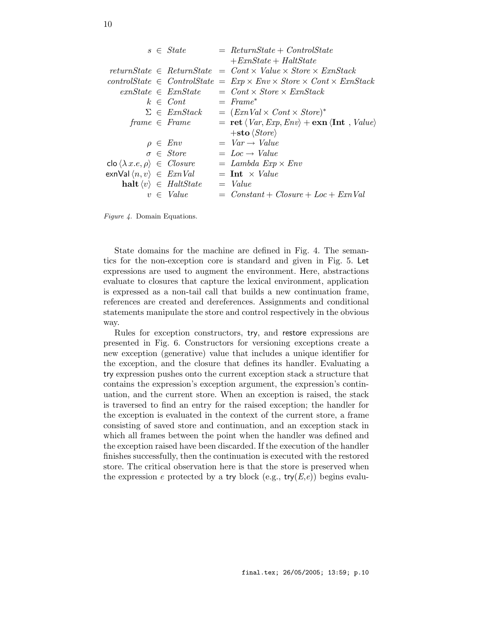|                                                                           | $s \in State$                                 | $=$ ReturnState + ControlState                                                                                             |
|---------------------------------------------------------------------------|-----------------------------------------------|----------------------------------------------------------------------------------------------------------------------------|
|                                                                           |                                               | $+ExnState + HaltState$                                                                                                    |
|                                                                           |                                               | $return State \in ReturnState = Cont \times Value \times Store \times Ernstack$                                            |
|                                                                           |                                               | $controlState \in ControlState = Exp \times Env \times Store \times Cont \times Ernstack$                                  |
|                                                                           | $exnState \in ExnState$                       | $=$ Cont $\times$ Store $\times$ ExnStack                                                                                  |
|                                                                           | $k \in$ Cont                                  | $=$ Frame <sup>*</sup>                                                                                                     |
|                                                                           | $\Sigma \in$ ExnStack                         | $= (ExnVal \times Cont \times Store)^*$                                                                                    |
|                                                                           | $frame \in Frame$                             | $= \text{ret } \langle \text{Var}, \text{Exp}, \text{Env} \rangle + \text{exn } \langle \text{Int }, \text{Value} \rangle$ |
|                                                                           |                                               | $+\mathbf{sto} \langle Store \rangle$                                                                                      |
|                                                                           | $\rho \in \mathit{Env}$                       | $= Var \rightarrow Value$                                                                                                  |
|                                                                           | $\sigma \in \mathit{Store}$                   | $= Loc \rightarrow Value$                                                                                                  |
| $\mathsf{clo}\, \langle \lambda\, x.e, \rho \rangle \in \mathit{Closure}$ |                                               | $=$ Lambda Exp $\times$ Env                                                                                                |
| $\exp$ lal $\langle n, v \rangle \in \mathit{ExnVal}$                     |                                               | $=$ Int $\times$ Value                                                                                                     |
|                                                                           | halt $\langle v \rangle \in \text{HaltState}$ | $=$ Value                                                                                                                  |
|                                                                           | $v \in Value$                                 | $=$ Constant + Closure + Loc + ExnVal                                                                                      |
|                                                                           |                                               |                                                                                                                            |

Figure 4. Domain Equations.

State domains for the machine are defined in Fig. 4. The semantics for the non-exception core is standard and given in Fig. 5. Let expressions are used to augment the environment. Here, abstractions evaluate to closures that capture the lexical environment, application is expressed as a non-tail call that builds a new continuation frame, references are created and dereferences. Assignments and conditional statements manipulate the store and control respectively in the obvious way.

Rules for exception constructors, try, and restore expressions are presented in Fig. 6. Constructors for versioning exceptions create a new exception (generative) value that includes a unique identifier for the exception, and the closure that defines its handler. Evaluating a try expression pushes onto the current exception stack a structure that contains the expression's exception argument, the expression's continuation, and the current store. When an exception is raised, the stack is traversed to find an entry for the raised exception; the handler for the exception is evaluated in the context of the current store, a frame consisting of saved store and continuation, and an exception stack in which all frames between the point when the handler was defined and the exception raised have been discarded. If the execution of the handler finishes successfully, then the continuation is executed with the restored store. The critical observation here is that the store is preserved when the expression e protected by a try block (e.g.,  $\text{try}(E,e)$ ) begins evalu-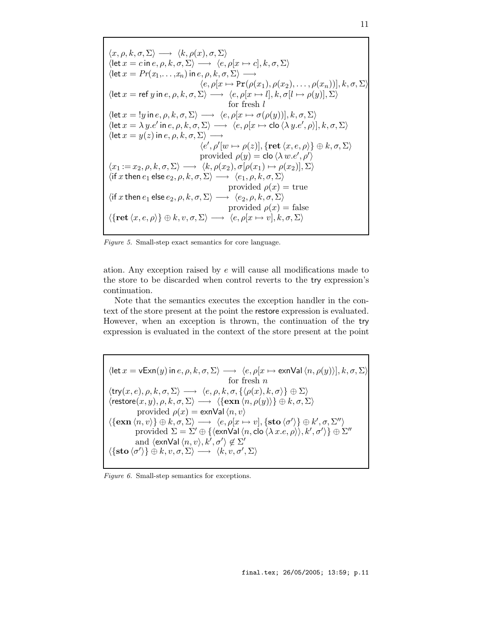$\langle x, \rho, k, \sigma, \Sigma \rangle \longrightarrow \langle k, \rho(x), \sigma, \Sigma \rangle$  $\langle \textsf{let}\, x = c \, \textsf{in}\, e, \rho, k, \sigma, \Sigma \rangle \longrightarrow \ \langle e, \rho[x \mapsto c], k, \sigma, \Sigma \rangle$  $\langle \text{let } x = Pr(x_1, \ldots, x_n) \text{ in } e, \rho, k, \sigma, \Sigma \rangle \longrightarrow$  $\langle e, \rho[x \mapsto \Pr(\rho(x_1), \rho(x_2), \dots, \rho(x_n))] , k, \sigma, \Sigma \rangle$  $\langle \det x = \mathsf{ref} \ y \text{ in } e, \rho, k, \sigma, \Sigma \rangle \longrightarrow \langle e, \rho[x \mapsto l], k, \sigma[l \mapsto \rho(y)], \Sigma \rangle$ for fresh  $l$  $\langle \det x = [y \text{ in } e, \rho, k, \sigma, \Sigma \rangle \longrightarrow \langle e, \rho[x \mapsto \sigma(\rho(y))], k, \sigma, \Sigma \rangle$  $\langle \det x = \lambda y. e' \text{ in } e, \rho, k, \sigma, \Sigma \rangle \longrightarrow \langle e, \rho[x \mapsto \text{clo } \langle \lambda y. e', \rho \rangle], k, \sigma, \Sigma \rangle$  $\langle \det x = y(z) \text{ in } e, \rho, k, \sigma, \Sigma \rangle \longrightarrow$  $\langle e', \rho' \vert w \mapsto \rho(z) \vert, \{ \text{ret } \langle x, e, \rho \rangle \} \oplus k, \sigma, \Sigma \rangle$ provided  $\rho(y) = \mathsf{clo}\langle \lambda w.e', \rho' \rangle$  $\langle x_1 \mathbin{:=} x_2, \rho, k, \sigma, \Sigma \rangle \longrightarrow \ \langle k, \rho(x_2), \sigma[\rho(x_1) \mapsto \rho(x_2)], \Sigma \rangle$  $\langle$  if x then  $e_1$  else  $e_2, \rho, k, \sigma, \Sigma \rangle \longrightarrow \langle e_1, \rho, k, \sigma, \Sigma \rangle$ provided  $\rho(x) = \text{true}$  $\langle \text{if } x \text{ then } e_1 \text{ else } e_2, \rho, k, \sigma, \Sigma \rangle \longrightarrow \langle e_2, \rho, k, \sigma, \Sigma \rangle$ provided  $\rho(x)$  = false  $\langle \{ \text{ret } \langle x, e, \rho \rangle \} \oplus k, v, \sigma, \Sigma \rangle \longrightarrow \langle e, \rho[x \mapsto v], k, \sigma, \Sigma \rangle$ 

Figure 5. Small-step exact semantics for core language.

ation. Any exception raised by e will cause all modifications made to the store to be discarded when control reverts to the try expression's continuation.

Note that the semantics executes the exception handler in the context of the store present at the point the restore expression is evaluated. However, when an exception is thrown, the continuation of the try expression is evaluated in the context of the store present at the point

 $\langle \mathsf{let} \, x = \mathsf{vExn}(y) \, \mathsf{in} \, e, \rho, k, \sigma, \Sigma \rangle \longrightarrow \langle e, \rho[x \mapsto \mathsf{exnVal}\, \langle n, \rho(y) \rangle], k, \sigma, \Sigma \rangle$ for fresh  $n$  $\langle \text{try}(x, e), \rho, k, \sigma, \Sigma \rangle \longrightarrow \langle e, \rho, k, \sigma, \{\langle \rho(x), k, \sigma \rangle\} \oplus \Sigma \rangle$  $\langle \mathsf{restore}(x, y), \rho, k, \sigma, \Sigma \rangle \longrightarrow \langle \{ \mathbf{exn} \langle n, \rho(y) \rangle \} \oplus k, \sigma, \Sigma \rangle$ provided  $\rho(x) = \exp\text{Val}\langle n, v\rangle$  $\langle \{ \exp(n, v) \} \oplus k, \sigma, \Sigma \rangle \longrightarrow \langle e, \rho[x \mapsto v], \{ \operatorname{sto} \langle \sigma' \rangle \} \oplus k', \sigma, \Sigma'' \rangle$ provided  $\Sigma = \Sigma' \oplus \{\langle \mathsf{exnVal}\, \langle n, \mathsf{clo}\, \langle \lambda\, x.e, \rho \rangle\rangle, k', \sigma' \rangle\} \oplus \Sigma''$ and  $\langle$ exnVal $\langle n, v \rangle, k', \sigma' \rangle \not\in \Sigma'$  $\langle \{ \mathbf{sto} \langle \sigma' \rangle \} \oplus k, v, \sigma, \Sigma \rangle \longrightarrow \langle k, v, \sigma', \Sigma \rangle$ 

Figure 6. Small-step semantics for exceptions.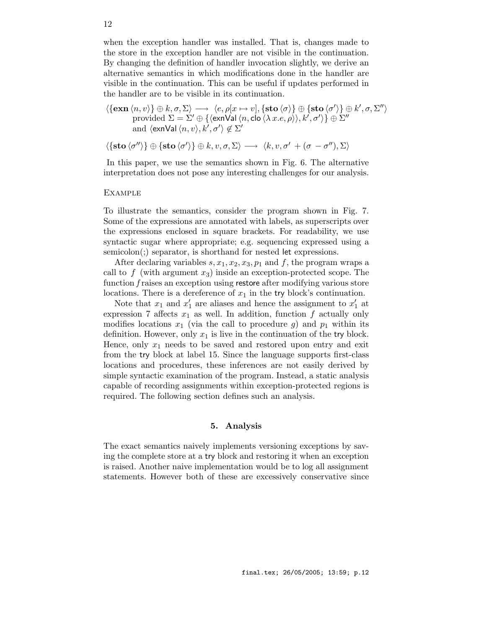when the exception handler was installed. That is, changes made to the store in the exception handler are not visible in the continuation. By changing the definition of handler invocation slightly, we derive an alternative semantics in which modifications done in the handler are visible in the continuation. This can be useful if updates performed in the handler are to be visible in its continuation.

$$
\langle \{ \operatorname{\mathsf{exn}} \langle n, v \rangle \} \oplus k, \sigma, \Sigma \rangle \longrightarrow \langle e, \rho[x \mapsto v], \{ \operatorname{\mathsf{sto}} \langle \sigma \rangle \} \oplus \{ \operatorname{\mathsf{sto}} \langle \sigma' \rangle \} \oplus k', \sigma, \Sigma'' \rangle
$$
\nprovided  $\Sigma = \Sigma' \oplus \{ \langle \operatorname{\mathsf{exnVal}} \langle n, \operatorname{\mathsf{clo}} \langle \lambda x. e, \rho \rangle \rangle, k', \sigma' \rangle \} \oplus \Sigma''$ \nand  $\langle \operatorname{\mathsf{exnVal}} \langle n, v \rangle, k', \sigma' \rangle \notin \Sigma'$ 

$$
\langle \{\mathbf{sto}\langle \sigma'' \rangle\} \oplus \{\mathbf{sto}\langle \sigma' \rangle\} \oplus k, v, \sigma, \Sigma \rangle \longrightarrow \langle k, v, \sigma' + (\sigma - \sigma''), \Sigma \rangle
$$

In this paper, we use the semantics shown in Fig. 6. The alternative interpretation does not pose any interesting challenges for our analysis.

## Example

To illustrate the semantics, consider the program shown in Fig. 7. Some of the expressions are annotated with labels, as superscripts over the expressions enclosed in square brackets. For readability, we use syntactic sugar where appropriate; e.g. sequencing expressed using a semicolon(;) separator, is shorthand for nested let expressions.

After declaring variables  $s, x_1, x_2, x_3, p_1$  and f, the program wraps a call to  $f$  (with argument  $x_3$ ) inside an exception-protected scope. The function  $f$  raises an exception using restore after modifying various store locations. There is a dereference of  $x_1$  in the try block's continuation.

Note that  $x_1$  and  $x'_1$  are aliases and hence the assignment to  $x'_1$  at expression 7 affects  $x_1$  as well. In addition, function f actually only modifies locations  $x_1$  (via the call to procedure g) and  $p_1$  within its definition. However, only  $x_1$  is live in the continuation of the try block. Hence, only  $x_1$  needs to be saved and restored upon entry and exit from the try block at label 15. Since the language supports first-class locations and procedures, these inferences are not easily derived by simple syntactic examination of the program. Instead, a static analysis capable of recording assignments within exception-protected regions is required. The following section defines such an analysis.

#### 5. Analysis

The exact semantics naively implements versioning exceptions by saving the complete store at a try block and restoring it when an exception is raised. Another naive implementation would be to log all assignment statements. However both of these are excessively conservative since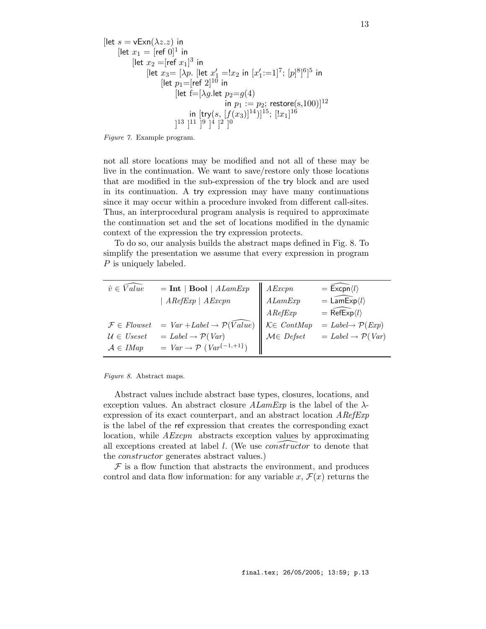$$
[\text{let } s = \text{vExn}(\lambda z. z) \text{ in}
$$
\n
$$
[\text{let } x_1 = [\text{ref } 0]^1 \text{ in}
$$
\n
$$
[\text{let } x_2 = [\text{ref } x_1]^3 \text{ in}
$$
\n
$$
[\text{let } x_3 = [\lambda p. [\text{let } x'_1 = !x_2 \text{ in } [x'_1 := 1]^7; [p]^8]^6]^5 \text{ in}
$$
\n
$$
[\text{let } p_1 = [\text{ref } 2]^{10} \text{ in}
$$
\n
$$
[\text{let } [\lambda g. \text{let } p_2 = g(4)
$$
\n
$$
\text{in } p_1 := p_2; \text{ restore}(s, 100)]^{12}
$$
\n
$$
\text{in } [\text{try}(s, [f(x_3)]^{14})]^{15}; [!x_1]^{16}
$$



not all store locations may be modified and not all of these may be live in the continuation. We want to save/restore only those locations that are modified in the sub-expression of the try block and are used in its continuation. A try expression may have many continuations since it may occur within a procedure invoked from different call-sites. Thus, an interprocedural program analysis is required to approximate the continuation set and the set of locations modified in the dynamic context of the expression the try expression protects.

To do so, our analysis builds the abstract maps defined in Fig. 8. To simplify the presentation we assume that every expression in program P is uniquely labeled.

| $\hat{v} \in \widehat{Value}$                       | $=$ Int   Bool   $ALamExp$                                                                                           | AExcpn                                       | $= \widehat{\mathsf{Excpn}}\langle l \rangle$ |
|-----------------------------------------------------|----------------------------------------------------------------------------------------------------------------------|----------------------------------------------|-----------------------------------------------|
|                                                     | $A\text{RefExp} \mid A\text{Excpn}$                                                                                  | ALamExp                                      | $= \widehat{\text{LamExp}}\langle l \rangle$  |
|                                                     |                                                                                                                      | $A\mathit{RefExp}$                           | $= \widehat{\text{RefExp}}\langle l \rangle$  |
|                                                     | $\mathcal{F} \in \textit{Flowset} = \textit{Var} + \textit{Label} \rightarrow \mathcal{P}(\widehat{\textit{Value}})$ | $\mathcal{K}\mathit{\in} \ \mathit{ContMap}$ | $= Label \rightarrow \mathcal{P}(Exp)$        |
| $\mathcal{U} \in \mathit{U}\mathit{se}\mathit{set}$ | $= Label \rightarrow \mathcal{P}(Var)$                                                                               | $M \in Defset$                               | $= Label \rightarrow \mathcal{P}(Var)$        |
| $\mathcal{A} \in \mathit{IMap}$                     | $= Var \rightarrow \mathcal{P} (Var^{\{-1,+1\}})$                                                                    |                                              |                                               |

Figure 8. Abstract maps.

Abstract values include abstract base types, closures, locations, and exception values. An abstract closure  $ALamExp$  is the label of the  $\lambda$ expression of its exact counterpart, and an abstract location  $ARefExp$ is the label of the ref expression that creates the corresponding exact location, while AExcpn abstracts exception values by approximating all exceptions created at label  $l$ . (We use *constructor* to denote that the constructor generates abstract values.)

 $\mathcal F$  is a flow function that abstracts the environment, and produces control and data flow information: for any variable x,  $\mathcal{F}(x)$  returns the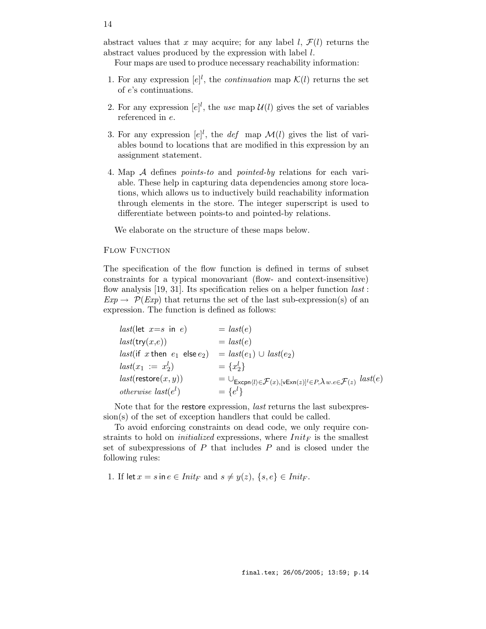abstract values that x may acquire; for any label l,  $\mathcal{F}(l)$  returns the abstract values produced by the expression with label l.

Four maps are used to produce necessary reachability information:

- 1. For any expression  $[e]^l$ , the *continuation* map  $\mathcal{K}(l)$  returns the set of e's continuations.
- 2. For any expression  $[e]^l$ , the use map  $\mathcal{U}(l)$  gives the set of variables referenced in e.
- 3. For any expression  $[e]^l$ , the *def* map  $\mathcal{M}(l)$  gives the list of variables bound to locations that are modified in this expression by an assignment statement.
- 4. Map A defines points-to and pointed-by relations for each variable. These help in capturing data dependencies among store locations, which allows us to inductively build reachability information through elements in the store. The integer superscript is used to differentiate between points-to and pointed-by relations.

We elaborate on the structure of these maps below.

#### FLOW FUNCTION

The specification of the flow function is defined in terms of subset constraints for a typical monovariant (flow- and context-insensitive) flow analysis [19, 31]. Its specification relies on a helper function  $last$ :  $Exp \rightarrow \mathcal{P}(Exp)$  that returns the set of the last sub-expression(s) of an expression. The function is defined as follows:

$$
last(\text{let } x=s \text{ in } e) = last(e)
$$
  
\n
$$
last(\text{try}(x,e)) = last(e)
$$
  
\n
$$
last(\text{if } x \text{ then } e_1 \text{ else } e_2) = last(e_1) \cup last(e_2)
$$
  
\n
$$
last(x_1 := x_2^l) = \{x_2^l\}
$$
  
\n
$$
last(\text{restore}(x, y)) = \cup_{\text{Excpn}\langle l \rangle \in \mathcal{F}(x), [\text{vExn}(z)]^l \in P, \lambda w.e \in \mathcal{F}(z) } last(e)
$$
  
\n
$$
otherwise last(e^l) = \{e^l\}
$$

Note that for the restore expression, *last* returns the last subexpression(s) of the set of exception handlers that could be called.

To avoid enforcing constraints on dead code, we only require constraints to hold on *initialized* expressions, where  $Init_F$  is the smallest set of subexpressions of  $P$  that includes  $P$  and is closed under the following rules:

1. If let  $x = s$  in  $e \in Int_F$  and  $s \neq y(z)$ ,  $\{s, e\} \in Int_F$ .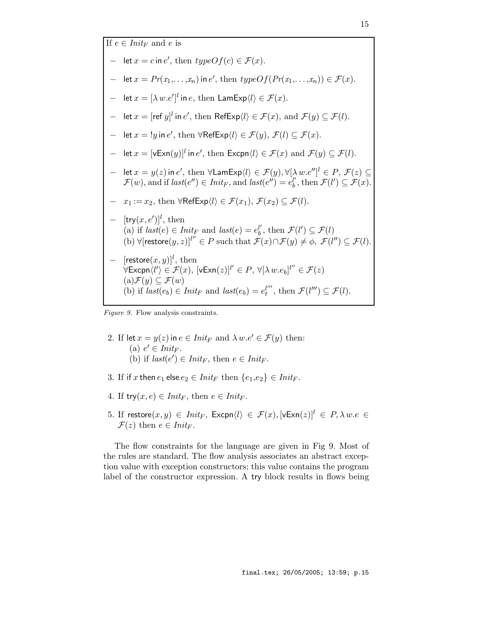If  $e \in \textit{Init}_F$  and  $e$  is

\n- \n
$$
-\text{ let } x = c \text{ in } e', \text{ then } typeOf(c) \in \mathcal{F}(x).
$$
\n
\n- \n $-\text{ let } x = Pr(x_1, \ldots, x_n) \text{ in } e', \text{ then } typeOf(Pr(x_1, \ldots, x_n)) \in \mathcal{F}(x).$ \n
\n- \n $-\text{ let } x = [\lambda w.e']^l \text{ in } e, \text{ then } \text{LamExp}(l) \in \mathcal{F}(x).$ \n
\n- \n $-\text{ let } x = [\text{ref } y]^l \text{ in } e', \text{ then } \text{RefExp}(l) \in \mathcal{F}(x), \text{ and } \mathcal{F}(y) \subseteq \mathcal{F}(l).$ \n
\n- \n $-\text{ let } x = !y \text{ in } e', \text{ then } \forall \text{RefExp}(l) \in \mathcal{F}(y), \mathcal{F}(l) \subseteq \mathcal{F}(x).$ \n
\n- \n $-\text{ let } x = [\text{vExn}(y)]^l \text{ in } e', \text{ then } \text{Excpn}(l) \in \mathcal{F}(x) \text{ and } \mathcal{F}(y) \subseteq \mathcal{F}(l).$ \n
\n- \n $-\text{ let } x = y(z) \text{ in } e', \text{ then } \forall \text{LamExp}(l) \in \mathcal{F}(y), \forall [\lambda w.e']^l \in P, \mathcal{F}(z) \subseteq \mathcal{F}(w), \text{ and if } last(e'') \in \text{Init}_F, \text{ and } last(e'') = e'_b, \text{ then } \mathcal{F}(l') \subseteq \mathcal{F}(x).$ \n
\n- \n $-x_1 := x_2, \text{ then } \forall \text{RefExp}(l) \in \mathcal{F}(x_1), \mathcal{F}(x_2) \subseteq \mathcal{F}(l).$ \n
\n- \n $-\text{ [try}(x, e')]^l, \text{ then }$ \n
\n- \n $(a) \text{ if } last(e) \in \text{Init}_F \text{ and } last(e) = e'_b, \text{ then } \mathcal{F}(l') \subseteq \mathcal{F}(l).$ \n
\n- \n $-\$

Figure 9. Flow analysis constraints.

- 2. If let  $x = y(z)$  in  $e \in Init_F$  and  $\lambda w.e' \in \mathcal{F}(y)$  then: (a)  $e' \in *Init*<sub>F</sub>$ . (b) if  $last(e') \in Init_F$ , then  $e \in Init_F$ .
- 3. If if x then  $e_1$  else  $e_2 \in *Init*<sub>F</sub>$  then  $\{e_1, e_2\} \in *Init*<sub>F</sub>$ .
- 4. If  $\text{try}(x, e) \in \text{Init}_F$ , then  $e \in \text{Init}_F$ .
- 5. If  $\mathsf{restore}(x, y) \in \mathit{Init}_F, \; \mathsf{Excpn}\langle l \rangle \, \in \, \mathcal{F}(x), [\mathsf{vExn}(z)]^l \, \in \, P, \lambda \, w.e \, \in \,$  $\mathcal{F}(z)$  then  $e \in \textit{Init}_F$ .

The flow constraints for the language are given in Fig 9. Most of the rules are standard. The flow analysis associates an abstract exception value with exception constructors; this value contains the program label of the constructor expression. A try block results in flows being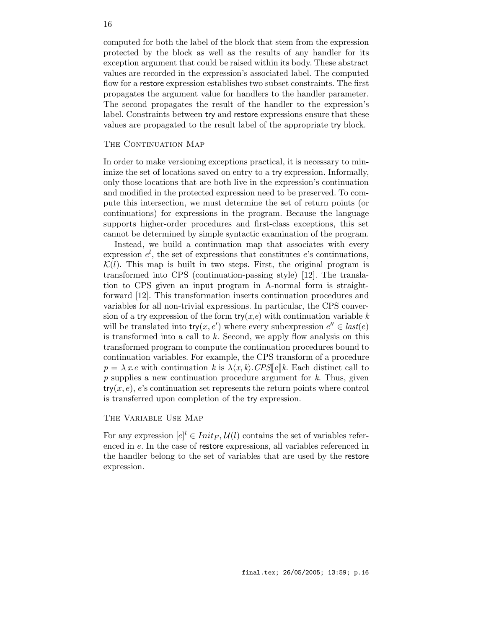computed for both the label of the block that stem from the expression protected by the block as well as the results of any handler for its exception argument that could be raised within its body. These abstract values are recorded in the expression's associated label. The computed flow for a restore expression establishes two subset constraints. The first propagates the argument value for handlers to the handler parameter. The second propagates the result of the handler to the expression's label. Constraints between try and restore expressions ensure that these values are propagated to the result label of the appropriate try block.

#### THE CONTINUATION MAP

In order to make versioning exceptions practical, it is necessary to minimize the set of locations saved on entry to a try expression. Informally, only those locations that are both live in the expression's continuation and modified in the protected expression need to be preserved. To compute this intersection, we must determine the set of return points (or continuations) for expressions in the program. Because the language supports higher-order procedures and first-class exceptions, this set cannot be determined by simple syntactic examination of the program.

Instead, we build a continuation map that associates with every expression  $e^l$ , the set of expressions that constitutes  $e$ 's continuations,  $\mathcal{K}(l)$ . This map is built in two steps. First, the original program is transformed into CPS (continuation-passing style) [12]. The translation to CPS given an input program in A-normal form is straightforward [12]. This transformation inserts continuation procedures and variables for all non-trivial expressions. In particular, the CPS conversion of a try expression of the form try(x,e) with continuation variable k will be translated into  $try(x, e')$  where every subexpression  $e'' \in last(e)$ is transformed into a call to k. Second, we apply flow analysis on this transformed program to compute the continuation procedures bound to continuation variables. For example, the CPS transform of a procedure  $p = \lambda x.e$  with continuation k is  $\lambda \langle x, k \rangle$ . CPS[[e]]k. Each distinct call to  $p$  supplies a new continuation procedure argument for  $k$ . Thus, given  $try(x, e)$ , e's continuation set represents the return points where control is transferred upon completion of the try expression.

## The Variable Use Map

For any expression  $[e]^l \in Init_F, \mathcal{U}(l)$  contains the set of variables referenced in e. In the case of restore expressions, all variables referenced in the handler belong to the set of variables that are used by the restore expression.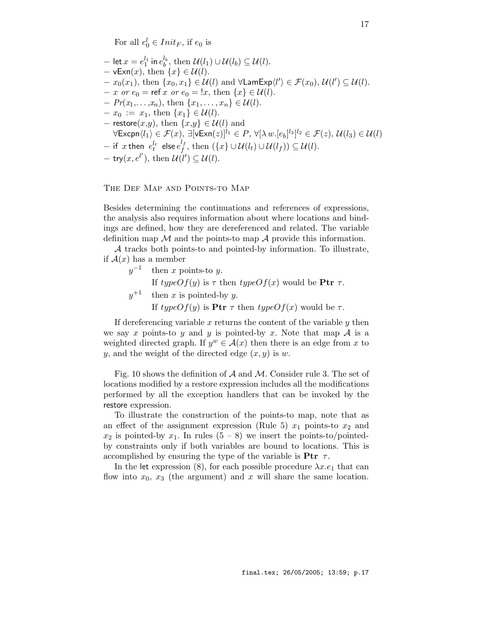For all  $e_0^l \in Init_F$ , if  $e_0$  is

\n- \n
$$
-\text{let } x = e_1^{l_1} \text{ in } e_b^{l_b}, \text{ then } \mathcal{U}(l_1) \cup \mathcal{U}(l_b) \subseteq \mathcal{U}(l).
$$
\n
\n- \n $-\mathbf{v}\mathsf{Exn}(x), \text{ then } \{x\} \in \mathcal{U}(l).$ \n
\n- \n $-x_0(x_1), \text{ then } \{x_0, x_1\} \in \mathcal{U}(l) \text{ and } \forall \mathsf{LamExp}\langle l' \rangle \in \mathcal{F}(x_0), \mathcal{U}(l') \subseteq \mathcal{U}(l).$ \n
\n- \n $-x \text{ or } e_0 = \text{ref } x \text{ or } e_0 = !x, \text{ then } \{x\} \in \mathcal{U}(l).$ \n
\n- \n $-Pr(x_1, \ldots, x_n), \text{ then } \{x_1, \ldots, x_n\} \in \mathcal{U}(l).$ \n
\n- \n $-x_0 := x_1, \text{ then } \{x_1\} \in \mathcal{U}(l).$ \n
\n- \n $-r\text{estore}(x, y), \text{ then } \{x, y\} \in \mathcal{U}(l) \text{ and }$ \n
\n- \n $\forall \text{Excpn}\langle l_1 \rangle \in \mathcal{F}(x), \exists [\text{v}\text{Exn}(z)]^{l_1} \in P, \forall [\lambda w \cdot [e_b]^{l_3}]^{l_2} \in \mathcal{F}(z), \mathcal{U}(l_3) \in \mathcal{U}(l).$ \n
\n- \n $- \text{if } x \text{ then } e_t^{l_t} \text{ else } e_f^{l_f}, \text{ then } (\{x\} \cup \mathcal{U}(l_t) \cup \mathcal{U}(l_f)) \subseteq \mathcal{U}(l).$ \n
\n- \n $- \text{try}(x, e^{l'}), \text{ then } \mathcal{U}(l') \subseteq \mathcal{U}(l).$ \n
\n

## THE DEF MAP AND POINTS-TO MAP

Besides determining the continuations and references of expressions, the analysis also requires information about where locations and bindings are defined, how they are dereferenced and related. The variable definition map  $\mathcal M$  and the points-to map  $\mathcal A$  provide this information.

A tracks both points-to and pointed-by information. To illustrate, if  $A(x)$  has a member

 $y^{-1}$  then x points-to y. If  $typeOf(y)$  is  $\tau$  then  $typeOf(x)$  would be Ptr  $\tau$ .  $y^{+1}$  then x is pointed-by y. If  $typeOf(y)$  is Ptr  $\tau$  then  $typeOf(x)$  would be  $\tau$ .

If dereferencing variable  $x$  returns the content of the variable  $y$  then we say x points-to y and y is pointed-by x. Note that map  $A$  is a weighted directed graph. If  $y^w \in \mathcal{A}(x)$  then there is an edge from x to y, and the weight of the directed edge  $(x, y)$  is w.

Fig. 10 shows the definition of  $A$  and  $M$ . Consider rule 3. The set of locations modified by a restore expression includes all the modifications performed by all the exception handlers that can be invoked by the restore expression.

To illustrate the construction of the points-to map, note that as an effect of the assignment expression (Rule 5)  $x_1$  points-to  $x_2$  and  $x_2$  is pointed-by  $x_1$ . In rules  $(5-8)$  we insert the points-to/pointedby constraints only if both variables are bound to locations. This is accomplished by ensuring the type of the variable is **Ptr**  $\tau$ .

In the let expression (8), for each possible procedure  $\lambda x.e_1$  that can flow into  $x_0$ ,  $x_3$  (the argument) and x will share the same location.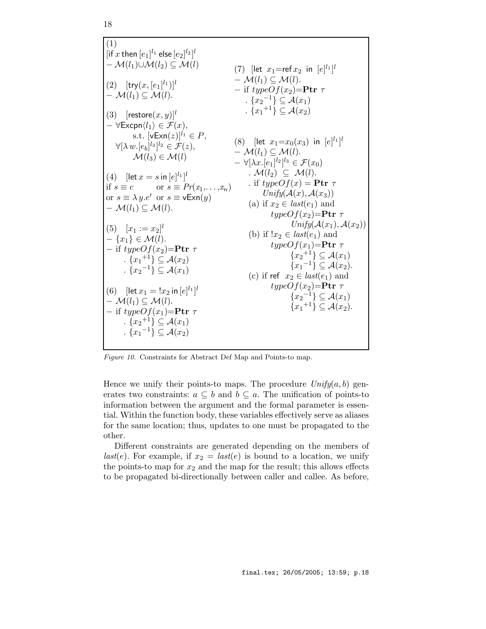(1)  $[\mathsf{if} \ x \mathsf{then} \ [e_1]^{l_1}$  else $[e_2]^{l_2}]^{l_1}$  $- \mathcal{M}(l_1) \cup \mathcal{M}(l_2) \subseteq \mathcal{M}(l)$ (2)  $[try(x,[e_1]^{l_1})]^{l_1}$  $- \mathcal{M}(l_1) \subseteq \mathcal{M}(l).$ (3) [restore $(x, y)$ ]  $- \forall \mathsf{Excpn}\langle l_1 \rangle \in \mathcal{F}(x),$ s.t.  $[v\text{Exn}(z)]^{l_1} \in P$ ,  $\forall [\lambda w.[e_b]^{l_3}]^{l_2} \in \mathcal{F}(z),$  $\mathcal{M}(l_3)\in \mathcal{M}(l)$ (4) [let  $x = s$  in  $[e]^{l_1}$ ]<sup>l</sup> if  $s \equiv c$  or  $s \equiv Pr(x_1, \ldots, x_n)$ or  $s \equiv \lambda y.e'$  or  $s \equiv v \text{Exn}(y)$  $- \mathcal{M}(l_1) \subseteq \mathcal{M}(l)$ . (5)  $[x_1 := x_2]^l$  $- \{x_1\} \in \mathcal{M}(l).$  $-\text{ if } typeOf(x_2) = \textbf{Ptr } \tau$ .  $\{x_1^{+1}\}\subseteq \mathcal{A}(x_2)$ .  $\{x_2^{-1}\}\subseteq \mathcal{A}(x_1)$ (6) [let  $x_1 = 1x_2$  in  $[e]^{l_1}$ ]<sup>l</sup>  $- \mathcal{M}(l_1) \subseteq \mathcal{M}(l)$ .  $-$  if type $Of(x_1) = \textbf{Ptr } \tau$ .  $\{x_2^{+1}\}\subseteq \mathcal{A}(x_1)$ .  $\{x_1^{-1}\}\subseteq \mathcal{A}(x_2)$ (7) [let  $x_1 = \text{ref } x_2$  in  $[e]^{l_1}$ ]<sup>*l*</sup>  $- \mathcal{M}(l_1) \subseteq \mathcal{M}(l).$  $-$  if type $Of(x_2)=P$ tr  $\tau$ .  $\{x_2^{-1}\}\subseteq \mathcal{A}(x_1)$ .  $\{x_1^{+1}\}\subseteq \mathcal{A}(x_2)$ (8) [let  $x_1 = x_0(x_3)$  in  $[e]^{l_1}$ ]<sup>l</sup>  $- \mathcal{M}(l_1) \subseteq \mathcal{M}(l)$ .  $-\forall [\lambda x.[e_1]^{l_2}]^{l_3} \in \mathcal{F}(x_0)$  $\mathcal{M}(l_2) \subseteq \mathcal{M}(l).$ . if  $typeOf(x) = \textbf{Ptr }\tau$  $Unify(\mathcal{A}(x), \mathcal{A}(x_3))$ (a) if  $x_2 \in \text{last}(e_1)$  and  $typeOf(x_2) = Ptr \tau$ Unify $(\mathcal{A}(x_1), \mathcal{A}(x_2))$ (b) if  $!x_2 \in last(e_1)$  and  $typeOf(x_1) = Ptr \tau$  ${x_2}^{+1}$   $\subseteq$   $\mathcal{A}(x_1)$  ${x_1}^{-1}$   $\subseteq$   $\mathcal{A}(x_2)$ . (c) if ref  $x_2 \in \text{last}(e_1)$  and  $typeOf(x_2) = Ptr \tau$  ${x_2}^{-1}$   $\subseteq$   $\mathcal{A}(x_1)$  ${x_1}^{+1}$   $\subseteq$   $\mathcal{A}(x_2)$ .

Figure 10. Constraints for Abstract Def Map and Points-to map.

Hence we unify their points-to maps. The procedure  $Unify(a, b)$  generates two constraints:  $a \subseteq b$  and  $b \subseteq a$ . The unification of points-to information between the argument and the formal parameter is essential. Within the function body, these variables effectively serve as aliases for the same location; thus, updates to one must be propagated to the other.

Different constraints are generated depending on the members of *last(e)*. For example, if  $x_2 = last(e)$  is bound to a location, we unify the points-to map for  $x_2$  and the map for the result; this allows effects to be propagated bi-directionally between caller and callee. As before,

18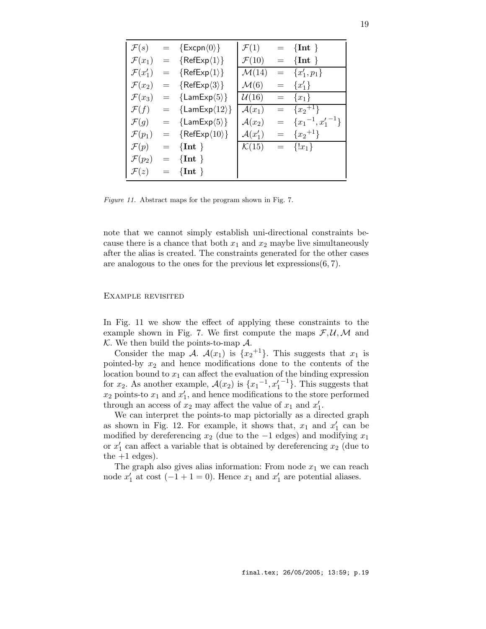| $\mathcal{F}(s)$    | $=$             | $\{Excpn\langle 0 \rangle\}$      | $\mathcal{F}(1)$    | $=$             | $\{Int\}$                 |
|---------------------|-----------------|-----------------------------------|---------------------|-----------------|---------------------------|
| $\mathcal{F}(x_1)$  | $=$             | $\{RefExp\langle 1 \rangle\}$     | $\mathcal{F}(10)$   | $=$             | $\{Int\}$                 |
| $\mathcal{F}(x_1')$ | $=$             | $\{RefExp\langle 1 \rangle\}$     | $\mathcal{M}(14)$   | $=$             | $\{x'_1, p_1\}$           |
| $\mathcal{F}(x_2)$  | $\!\!\!=\!\!\!$ | $\{RefExp\langle 3 \rangle\}$     | $\mathcal{M}(6)$    | $=$             | $\{x_1'\}$                |
| $\mathcal{F}(x_3)$  | $=$             | $\{LamExp\langle 5\rangle\}$      | U(16)               | $\!\!\!=\!\!\!$ | $\{x_1\}$                 |
| $\mathcal{F}(f)$    | $=$             | $\{LamExp\langle 12 \rangle\}$    | $\mathcal{A}(x_1)$  | $=$             | $\{x_2^{+1}\}\$           |
| $\mathcal{F}(g)$    |                 | $=$ {LamExp $\langle 5 \rangle$ } | $\mathcal{A}(x_2)$  | $=$             | ${x_1}^{-1}, {x_1'}^{-1}$ |
| $\mathcal{F}(p_1)$  | $=$             | $\{RefExp(10)\}\$                 | $\mathcal{A}(x_1')$ | $=$             | $\{x_2^{+1}\}\$           |
| $\mathcal{F}(p)$    | $=$             | $\{Int\}$                         | $\mathcal{K}(15)$   | $=$             | $\{!x_1\}$                |
| $\mathcal{F}(p_2)$  | $=$             | $\{Int\}$                         |                     |                 |                           |
| $\mathcal{F}(z)$    | $=$             | $\{Int\}$                         |                     |                 |                           |

Figure 11. Abstract maps for the program shown in Fig. 7.

note that we cannot simply establish uni-directional constraints because there is a chance that both  $x_1$  and  $x_2$  maybe live simultaneously after the alias is created. The constraints generated for the other cases are analogous to the ones for the previous let expressions(6, 7).

## Example revisited

In Fig. 11 we show the effect of applying these constraints to the example shown in Fig. 7. We first compute the maps  $\mathcal{F}, \mathcal{U}, \mathcal{M}$  and  $K$ . We then build the points-to-map  $\mathcal{A}$ .

Consider the map A.  $\mathcal{A}(x_1)$  is  $\{x_2^{+1}\}\$ . This suggests that  $x_1$  is pointed-by  $x_2$  and hence modifications done to the contents of the location bound to  $x_1$  can affect the evaluation of the binding expression for  $x_2$ . As another example,  $\mathcal{A}(x_2)$  is  $\{x_1^{-1}, x_1'^{-1}\}$ . This suggests that  $x_2$  points-to  $x_1$  and  $x'_1$ , and hence modifications to the store performed through an access of  $x_2$  may affect the value of  $x_1$  and  $x'_1$ .

We can interpret the points-to map pictorially as a directed graph as shown in Fig. 12. For example, it shows that,  $x_1$  and  $x'_1$  can be modified by dereferencing  $x_2$  (due to the  $-1$  edges) and modifying  $x_1$ or  $x'_1$  can affect a variable that is obtained by dereferencing  $x_2$  (due to the  $+1$  edges).

The graph also gives alias information: From node  $x_1$  we can reach node  $x'_1$  at cost  $(-1+1=0)$ . Hence  $x_1$  and  $x'_1$  are potential aliases.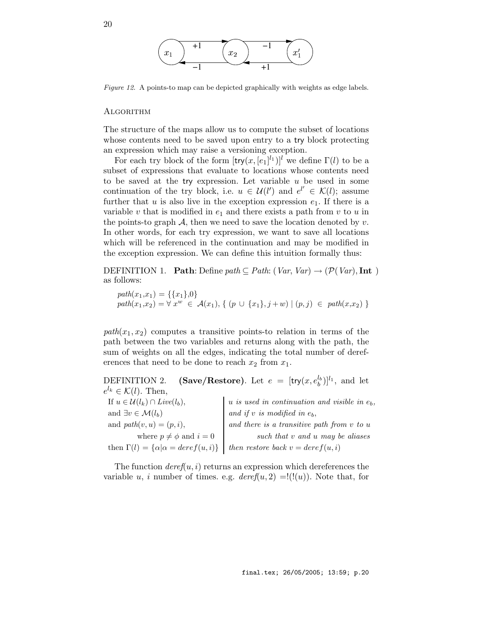



Figure 12. A points-to map can be depicted graphically with weights as edge labels.

#### **ALGORITHM**

The structure of the maps allow us to compute the subset of locations whose contents need to be saved upon entry to a try block protecting an expression which may raise a versioning exception.

For each try block of the form  $[\text{try}(x,[e_1]^{l_1})]^l$  we define  $\Gamma(l)$  to be a subset of expressions that evaluate to locations whose contents need to be saved at the try expression. Let variable  $u$  be used in some continuation of the try block, i.e.  $u \in \mathcal{U}(l')$  and  $e^{l'} \in \mathcal{K}(l)$ ; assume further that u is also live in the exception expression  $e_1$ . If there is a variable v that is modified in  $e_1$  and there exists a path from v to u in the points-to graph  $A$ , then we need to save the location denoted by  $v$ . In other words, for each try expression, we want to save all locations which will be referenced in the continuation and may be modified in the exception expression. We can define this intuition formally thus:

DEFINITION 1. Path: Define path  $\subseteq$  Path:  $(Var, Var) \rightarrow (\mathcal{P}(Var), Int)$ as follows:

$$
path(x_1, x_1) = \{\{x_1\}, 0\}
$$
  

$$
path(x_1, x_2) = \forall x^w \in \mathcal{A}(x_1), \{ (p \cup \{x_1\}, j+w) \mid (p, j) \in path(x, x_2) \}
$$

 $path(x_1, x_2)$  computes a transitive points-to relation in terms of the path between the two variables and returns along with the path, the sum of weights on all the edges, indicating the total number of dereferences that need to be done to reach  $x_2$  from  $x_1$ .

| (Save/Restore). Let $e = [\text{try}(x, e_h^{l_b})]^{l_1}$ , and let |
|----------------------------------------------------------------------|
|                                                                      |
| $u$ is used in continuation and visible in $e_b$ ,                   |
| and if $v$ is modified in $e_b$ ,                                    |
| and there is a transitive path from $v$ to $u$                       |
| such that $v$ and $u$ may be aliases                                 |
| then restore back $v = \text{degree}(u, i)$                          |
|                                                                      |

The function  $\text{derf}(u, i)$  returns an expression which dereferences the variable u, i number of times. e.g.  $\text{degreef}(u, 2) = \frac{I(\cdot(u))}{I}$ . Note that, for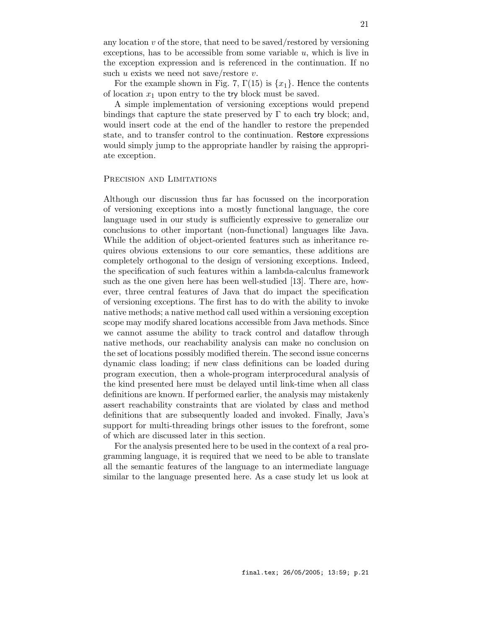any location  $v$  of the store, that need to be saved/restored by versioning exceptions, has to be accessible from some variable  $u$ , which is live in the exception expression and is referenced in the continuation. If no such u exists we need not save/restore  $v$ .

For the example shown in Fig. 7,  $\Gamma(15)$  is  $\{x_1\}$ . Hence the contents of location  $x_1$  upon entry to the try block must be saved.

A simple implementation of versioning exceptions would prepend bindings that capture the state preserved by  $\Gamma$  to each try block; and, would insert code at the end of the handler to restore the prepended state, and to transfer control to the continuation. Restore expressions would simply jump to the appropriate handler by raising the appropriate exception.

## PRECISION AND LIMITATIONS

Although our discussion thus far has focussed on the incorporation of versioning exceptions into a mostly functional language, the core language used in our study is sufficiently expressive to generalize our conclusions to other important (non-functional) languages like Java. While the addition of object-oriented features such as inheritance requires obvious extensions to our core semantics, these additions are completely orthogonal to the design of versioning exceptions. Indeed, the specification of such features within a lambda-calculus framework such as the one given here has been well-studied [13]. There are, however, three central features of Java that do impact the specification of versioning exceptions. The first has to do with the ability to invoke native methods; a native method call used within a versioning exception scope may modify shared locations accessible from Java methods. Since we cannot assume the ability to track control and dataflow through native methods, our reachability analysis can make no conclusion on the set of locations possibly modified therein. The second issue concerns dynamic class loading; if new class definitions can be loaded during program execution, then a whole-program interprocedural analysis of the kind presented here must be delayed until link-time when all class definitions are known. If performed earlier, the analysis may mistakenly assert reachability constraints that are violated by class and method definitions that are subsequently loaded and invoked. Finally, Java's support for multi-threading brings other issues to the forefront, some of which are discussed later in this section.

For the analysis presented here to be used in the context of a real programming language, it is required that we need to be able to translate all the semantic features of the language to an intermediate language similar to the language presented here. As a case study let us look at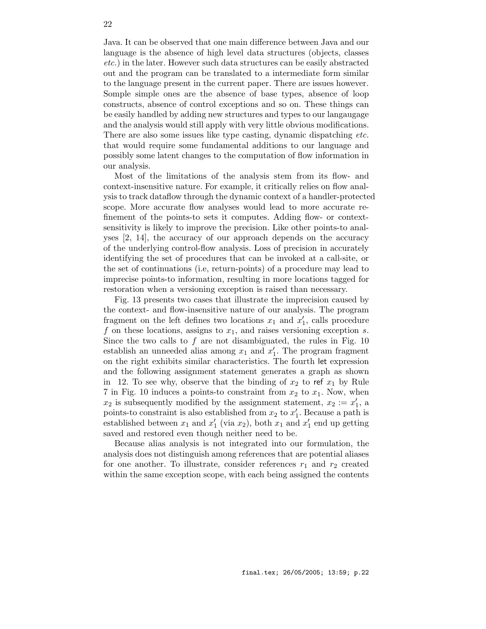Java. It can be observed that one main difference between Java and our language is the absence of high level data structures (objects, classes etc.) in the later. However such data structures can be easily abstracted out and the program can be translated to a intermediate form similar to the language present in the current paper. There are issues however. Somple simple ones are the absence of base types, absence of loop constructs, absence of control exceptions and so on. These things can be easily handled by adding new structures and types to our langaugage and the analysis would still apply with very little obvious modifications. There are also some issues like type casting, dynamic dispatching etc. that would require some fundamental additions to our language and possibly some latent changes to the computation of flow information in our analysis.

Most of the limitations of the analysis stem from its flow- and context-insensitive nature. For example, it critically relies on flow analysis to track dataflow through the dynamic context of a handler-protected scope. More accurate flow analyses would lead to more accurate refinement of the points-to sets it computes. Adding flow- or contextsensitivity is likely to improve the precision. Like other points-to analyses [2, 14], the accuracy of our approach depends on the accuracy of the underlying control-flow analysis. Loss of precision in accurately identifying the set of procedures that can be invoked at a call-site, or the set of continuations (i.e, return-points) of a procedure may lead to imprecise points-to information, resulting in more locations tagged for restoration when a versioning exception is raised than necessary.

Fig. 13 presents two cases that illustrate the imprecision caused by the context- and flow-insensitive nature of our analysis. The program fragment on the left defines two locations  $x_1$  and  $x'_1$ , calls procedure f on these locations, assigns to  $x_1$ , and raises versioning exception s. Since the two calls to  $f$  are not disambiguated, the rules in Fig. 10 establish an unneeded alias among  $x_1$  and  $x'_1$ . The program fragment on the right exhibits similar characteristics. The fourth let expression and the following assignment statement generates a graph as shown in 12. To see why, observe that the binding of  $x_2$  to ref  $x_1$  by Rule 7 in Fig. 10 induces a points-to constraint from  $x_2$  to  $x_1$ . Now, when  $x_2$  is subsequently modified by the assignment statement,  $x_2 := x'_1$ , a points-to constraint is also established from  $x_2$  to  $x'_1$ . Because a path is established between  $x_1$  and  $x'_1$  (via  $x_2$ ), both  $x_1$  and  $x'_1$  end up getting saved and restored even though neither need to be.

Because alias analysis is not integrated into our formulation, the analysis does not distinguish among references that are potential aliases for one another. To illustrate, consider references  $r_1$  and  $r_2$  created within the same exception scope, with each being assigned the contents

22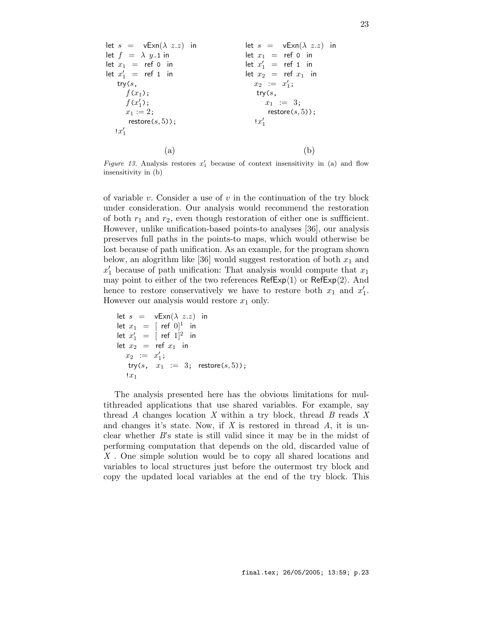```
let s = \sqrt{\text{Exn}(\lambda z.z)} in
let f = \lambda y.1 in
let x_1 = ref 0 in
let x'_1 = ref 1 in
   try(s,
      f(x_1);f(x'_1);
      x_1 := 2;restore(s, 5);
   !x'_1(a)
                                               let s = \sqrt{\text{Exn}(\lambda z.z)} in
                                               let x_1 = ref 0 in
                                                let x'_1 = ref 1 in
                                               let x_2 = ref x_1 in
                                                   x_2 := x'_1;try(s,x_1 := 3;\mathsf{restore}(s, 5);
                                                   !x'_1(b)
```
Figure 13. Analysis restores  $x'_1$  because of context insensitivity in (a) and flow insensitivity in (b)

of variable v. Consider a use of v in the continuation of the try block under consideration. Our analysis would recommend the restoration of both  $r_1$  and  $r_2$ , even though restoration of either one is suffficient. However, unlike unification-based points-to analyses [36], our analysis preserves full paths in the points-to maps, which would otherwise be lost because of path unification. As an example, for the program shown below, an alogrithm like [36] would suggest restoration of both  $x_1$  and  $x'_1$  because of path unification: That analysis would compute that  $x_1$ may point to either of the two references  $\mathsf{RefExp}(1)$  or  $\mathsf{RefExp}(2)$ . And hence to restore conservatively we have to restore both  $x_1$  and  $x'_1$ . However our analysis would restore  $x_1$  only.

```
let s = vExn(\lambda z.z) in
let x_1 = [ ref 0]^1 in
let x'_1 = [ref 1]^2 in
let x_2 = ref x_1 in
  x_2 := x'_1;try(s, x_1 := 3; restore(s, 5));
  !x_1
```
The analysis presented here has the obvious limitations for multithreaded applications that use shared variables. For example, say thread  $A$  changes location  $X$  within a try block, thread  $B$  reads  $X$ and changes it's state. Now, if X is restored in thread  $A$ , it is unclear whether B's state is still valid since it may be in the midst of performing computation that depends on the old, discarded value of X . One simple solution would be to copy all shared locations and variables to local structures just before the outermost try block and copy the updated local variables at the end of the try block. This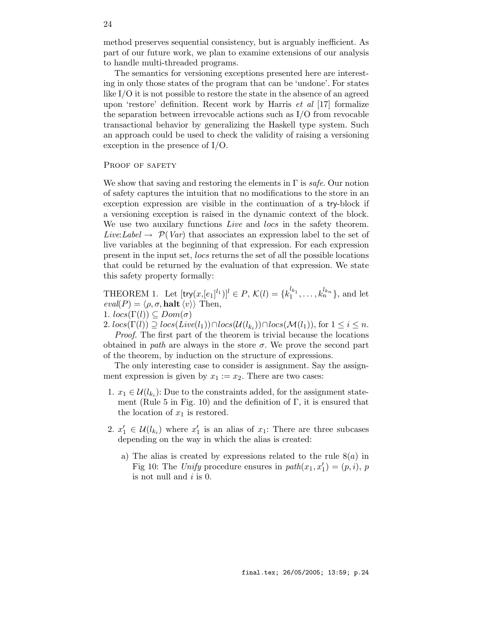method preserves sequential consistency, but is arguably inefficient. As part of our future work, we plan to examine extensions of our analysis to handle multi-threaded programs.

The semantics for versioning exceptions presented here are interesting in only those states of the program that can be 'undone'. For states like I/O it is not possible to restore the state in the absence of an agreed upon 'restore' definition. Recent work by Harris et al [17] formalize the separation between irrevocable actions such as I/O from revocable transactional behavior by generalizing the Haskell type system. Such an approach could be used to check the validity of raising a versioning exception in the presence of I/O.

#### PROOF OF SAFETY

We show that saving and restoring the elements in  $\Gamma$  is safe. Our notion of safety captures the intuition that no modifications to the store in an exception expression are visible in the continuation of a try-block if a versioning exception is raised in the dynamic context of the block. We use two auxilary functions *Live* and *locs* in the safety theorem. *Live:Label*  $\rightarrow$   $\mathcal{P}(Var)$  that associates an expression label to the set of live variables at the beginning of that expression. For each expression present in the input set, locs returns the set of all the possible locations that could be returned by the evaluation of that expression. We state this safety property formally:

THEOREM 1. Let  $[\text{try}(x,[e_1]^{l_1})]^l \in P$ ,  $\mathcal{K}(l) = \{k_1^{l_{k_1}}\}$  $\binom{l_{k_1}}{1}, \ldots, \binom{l_{k_n}}{n}$ , and let  $eval(P) = \langle \rho, \sigma, \text{halt} \langle v \rangle \rangle$  Then,

1.  $locs(\Gamma(l)) \subseteq Dom(\sigma)$ 

2.  $locs(\Gamma(l)) \supseteq locs(Live(l_1)) \cap locs(\mathcal{U}(l_{k_i})) \cap locs(\mathcal{M}(l_1)),$  for  $1 \leq i \leq n$ .

Proof. The first part of the theorem is trivial because the locations obtained in path are always in the store  $\sigma$ . We prove the second part of the theorem, by induction on the structure of expressions.

The only interesting case to consider is assignment. Say the assignment expression is given by  $x_1 := x_2$ . There are two cases:

- 1.  $x_1 \in \mathcal{U}(l_{k_i})$ : Due to the constraints added, for the assignment statement (Rule 5 in Fig. 10) and the definition of  $\Gamma$ , it is ensured that the location of  $x_1$  is restored.
- 2.  $x'_1 \in \mathcal{U}(l_{k_i})$  where  $x'_1$  is an alias of  $x_1$ : There are three subcases depending on the way in which the alias is created:
	- a) The alias is created by expressions related to the rule  $8(a)$  in Fig 10: The Unify procedure ensures in  $path(x_1, x_1') = (p, i), p$ is not null and  $i$  is 0.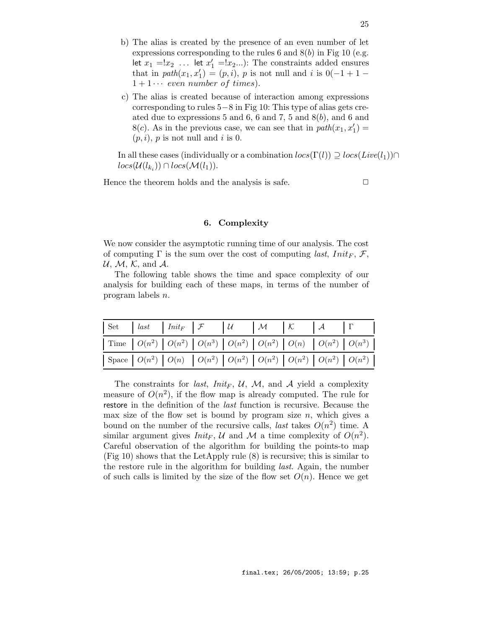- b) The alias is created by the presence of an even number of let expressions corresponding to the rules 6 and  $8(b)$  in Fig 10 (e.g. let  $x_1 = !x_2 \ldots$  let  $x'_1 = !x_2 \ldots$ ): The constraints added ensures that in  $path(x_1, x'_1) = (p, i), p$  is not null and i is  $0(-1 + 1 1+1\cdots$  even number of times).
- c) The alias is created because of interaction among expressions corresponding to rules 5−8 in Fig 10: This type of alias gets created due to expressions  $5$  and  $6$ ,  $6$  and  $7$ ,  $5$  and  $8(b)$ , and  $6$  and 8(c). As in the previous case, we can see that in  $path(x_1, x_1') =$  $(p, i)$ , p is not null and i is 0.

In all these cases (individually or a combination  $locs(\Gamma(l)) \supset \{locs(Live(l_1))\cap$  $\textit{locs}( \mathcal{U}(l_{k_i}) ) \cap \textit{locs}(\mathcal{M}(l_1)).$ 

Hence the theorem holds and the analysis is safe.  $\Box$ 

# 6. Complexity

We now consider the asymptotic running time of our analysis. The cost of computing  $\Gamma$  is the sum over the cost of computing *last*,  $Init_F$ ,  $\mathcal{F}$ ,  $U, M, K$ , and A.

The following table shows the time and space complexity of our analysis for building each of these maps, in terms of the number of program labels n.

|  |  | $\mid$ Time $\mid$ $O(n^2)$ $\mid$ $O(n^2)$ $\mid$ $O(n^3)$ $\mid$ $O(n^2)$ $\mid$ $O(n^2)$ $\mid$ $O(n^2)$ $\mid$ $O(n^3)$ |  |  |
|--|--|-----------------------------------------------------------------------------------------------------------------------------|--|--|
|  |  |                                                                                                                             |  |  |

The constraints for *last*, *Init<sub>F</sub>*,  $U$ ,  $M$ , and  $A$  yield a complexity measure of  $O(n^2)$ , if the flow map is already computed. The rule for restore in the definition of the *last* function is recursive. Because the max size of the flow set is bound by program size  $n$ , which gives a bound on the number of the recursive calls, *last* takes  $O(n^2)$  time. A similar argument gives  $Init_F$ , U and M a time complexity of  $O(n^2)$ . Careful observation of the algorithm for building the points-to map (Fig 10) shows that the LetApply rule (8) is recursive; this is similar to the restore rule in the algorithm for building *last*. Again, the number of such calls is limited by the size of the flow set  $O(n)$ . Hence we get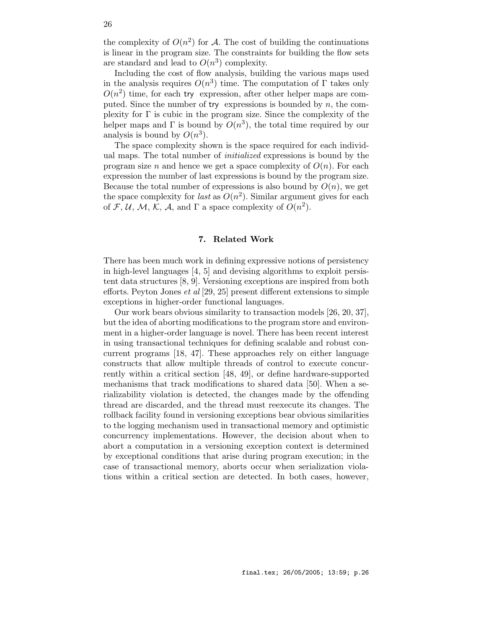the complexity of  $O(n^2)$  for A. The cost of building the continuations is linear in the program size. The constraints for building the flow sets are standard and lead to  $O(n^3)$  complexity.

Including the cost of flow analysis, building the various maps used in the analysis requires  $O(n^3)$  time. The computation of  $\Gamma$  takes only  $O(n^2)$  time, for each try expression, after other helper maps are computed. Since the number of try expressions is bounded by  $n$ , the complexity for  $\Gamma$  is cubic in the program size. Since the complexity of the helper maps and  $\Gamma$  is bound by  $O(n^3)$ , the total time required by our analysis is bound by  $O(n^3)$ .

The space complexity shown is the space required for each individual maps. The total number of *initialized* expressions is bound by the program size n and hence we get a space complexity of  $O(n)$ . For each expression the number of last expressions is bound by the program size. Because the total number of expressions is also bound by  $O(n)$ , we get the space complexity for *last* as  $O(n^2)$ . Similar argument gives for each of  $\mathcal{F}, \mathcal{U}, \mathcal{M}, \mathcal{K}, \mathcal{A},$  and  $\Gamma$  a space complexity of  $O(n^2)$ .

## 7. Related Work

There has been much work in defining expressive notions of persistency in high-level languages [4, 5] and devising algorithms to exploit persistent data structures [8, 9]. Versioning exceptions are inspired from both efforts. Peyton Jones et al [29, 25] present different extensions to simple exceptions in higher-order functional languages.

Our work bears obvious similarity to transaction models [26, 20, 37], but the idea of aborting modifications to the program store and environment in a higher-order language is novel. There has been recent interest in using transactional techniques for defining scalable and robust concurrent programs [18, 47]. These approaches rely on either language constructs that allow multiple threads of control to execute concurrently within a critical section [48, 49], or define hardware-supported mechanisms that track modifications to shared data [50]. When a serializability violation is detected, the changes made by the offending thread are discarded, and the thread must reexecute its changes. The rollback facility found in versioning exceptions bear obvious similarities to the logging mechanism used in transactional memory and optimistic concurrency implementations. However, the decision about when to abort a computation in a versioning exception context is determined by exceptional conditions that arise during program execution; in the case of transactional memory, aborts occur when serialization violations within a critical section are detected. In both cases, however,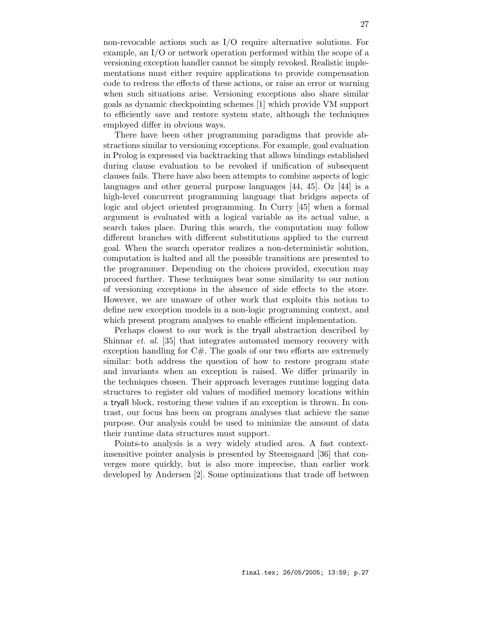non-revocable actions such as I/O require alternative solutions. For example, an I/O or network operation performed within the scope of a versioning exception handler cannot be simply revoked. Realistic implementations must either require applications to provide compensation code to redress the effects of these actions, or raise an error or warning when such situations arise. Versioning exceptions also share similar goals as dynamic checkpointing schemes [1] which provide VM support to efficiently save and restore system state, although the techniques employed differ in obvious ways.

There have been other programming paradigms that provide abstractions similar to versioning exceptions. For example, goal evaluation in Prolog is expressed via backtracking that allows bindings established during clause evaluation to be revoked if unification of subsequent clauses fails. There have also been attempts to combine aspects of logic languages and other general purpose languages [44, 45]. Oz [44] is a high-level concurrent programming language that bridges aspects of logic and object oriented programming. In Curry [45] when a formal argument is evaluated with a logical variable as its actual value, a search takes place. During this search, the computation may follow different branches with different substitutions applied to the current goal. When the search operator realizes a non-deterministic solution, computation is halted and all the possible transitions are presented to the programmer. Depending on the choices provided, execution may proceed further. These techniques bear some similarity to our notion of versioning exceptions in the absence of side effects to the store. However, we are unaware of other work that exploits this notion to define new exception models in a non-logic programming context, and which present program analyses to enable efficient implementation.

Perhaps closest to our work is the tryall abstraction described by Shinnar *et. al.* [35] that integrates automated memory recovery with exception handling for  $C\#$ . The goals of our two efforts are extremely similar: both address the question of how to restore program state and invariants when an exception is raised. We differ primarily in the techniques chosen. Their approach leverages runtime logging data structures to register old values of modified memory locations within a tryall block, restoring these values if an exception is thrown. In contrast, our focus has been on program analyses that achieve the same purpose. Our analysis could be used to minimize the amount of data their runtime data structures must support.

Points-to analysis is a very widely studied area. A fast contextinsensitive pointer analysis is presented by Steensgaard [36] that converges more quickly, but is also more imprecise, than earlier work developed by Andersen [2]. Some optimizations that trade off between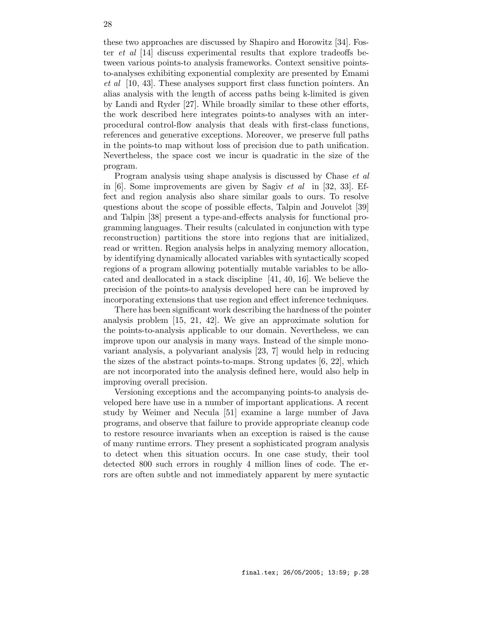these two approaches are discussed by Shapiro and Horowitz [34]. Foster et al [14] discuss experimental results that explore tradeoffs between various points-to analysis frameworks. Context sensitive pointsto-analyses exhibiting exponential complexity are presented by Emami et al [10, 43]. These analyses support first class function pointers. An alias analysis with the length of access paths being k-limited is given by Landi and Ryder [27]. While broadly similar to these other efforts, the work described here integrates points-to analyses with an interprocedural control-flow analysis that deals with first-class functions, references and generative exceptions. Moreover, we preserve full paths in the points-to map without loss of precision due to path unification. Nevertheless, the space cost we incur is quadratic in the size of the program.

Program analysis using shape analysis is discussed by Chase et al in [6]. Some improvements are given by Sagiv et al in [32, 33]. Effect and region analysis also share similar goals to ours. To resolve questions about the scope of possible effects, Talpin and Jouvelot [39] and Talpin [38] present a type-and-effects analysis for functional programming languages. Their results (calculated in conjunction with type reconstruction) partitions the store into regions that are initialized, read or written. Region analysis helps in analyzing memory allocation, by identifying dynamically allocated variables with syntactically scoped regions of a program allowing potentially mutable variables to be allocated and deallocated in a stack discipline [41, 40, 16]. We believe the precision of the points-to analysis developed here can be improved by incorporating extensions that use region and effect inference techniques.

There has been significant work describing the hardness of the pointer analysis problem [15, 21, 42]. We give an approximate solution for the points-to-analysis applicable to our domain. Nevertheless, we can improve upon our analysis in many ways. Instead of the simple monovariant analysis, a polyvariant analysis [23, 7] would help in reducing the sizes of the abstract points-to-maps. Strong updates [6, 22], which are not incorporated into the analysis defined here, would also help in improving overall precision.

Versioning exceptions and the accompanying points-to analysis developed here have use in a number of important applications. A recent study by Weimer and Necula [51] examine a large number of Java programs, and observe that failure to provide appropriate cleanup code to restore resource invariants when an exception is raised is the cause of many runtime errors. They present a sophisticated program analysis to detect when this situation occurs. In one case study, their tool detected 800 such errors in roughly 4 million lines of code. The errors are often subtle and not immediately apparent by mere syntactic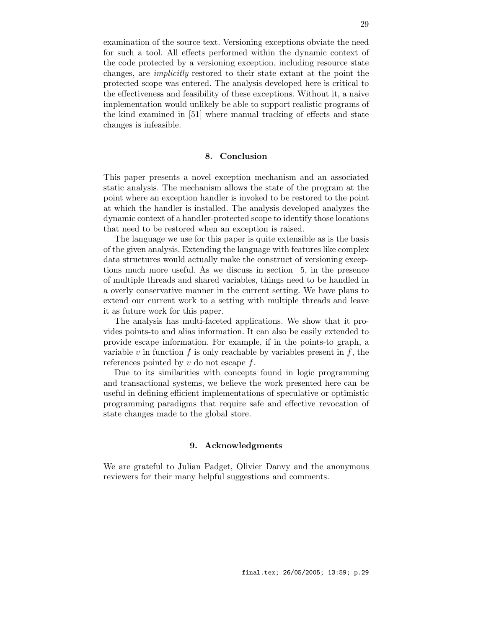examination of the source text. Versioning exceptions obviate the need for such a tool. All effects performed within the dynamic context of the code protected by a versioning exception, including resource state changes, are implicitly restored to their state extant at the point the protected scope was entered. The analysis developed here is critical to the effectiveness and feasibility of these exceptions. Without it, a naive implementation would unlikely be able to support realistic programs of the kind examined in [51] where manual tracking of effects and state changes is infeasible.

## 8. Conclusion

This paper presents a novel exception mechanism and an associated static analysis. The mechanism allows the state of the program at the point where an exception handler is invoked to be restored to the point at which the handler is installed. The analysis developed analyzes the dynamic context of a handler-protected scope to identify those locations that need to be restored when an exception is raised.

The language we use for this paper is quite extensible as is the basis of the given analysis. Extending the language with features like complex data structures would actually make the construct of versioning exceptions much more useful. As we discuss in section 5, in the presence of multiple threads and shared variables, things need to be handled in a overly conservative manner in the current setting. We have plans to extend our current work to a setting with multiple threads and leave it as future work for this paper.

The analysis has multi-faceted applications. We show that it provides points-to and alias information. It can also be easily extended to provide escape information. For example, if in the points-to graph, a variable v in function f is only reachable by variables present in f, the references pointed by  $v$  do not escape  $f$ .

Due to its similarities with concepts found in logic programming and transactional systems, we believe the work presented here can be useful in defining efficient implementations of speculative or optimistic programming paradigms that require safe and effective revocation of state changes made to the global store.

## 9. Acknowledgments

We are grateful to Julian Padget, Olivier Danvy and the anonymous reviewers for their many helpful suggestions and comments.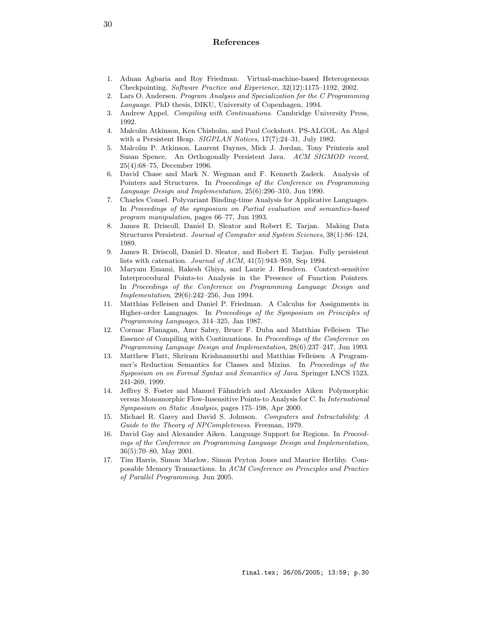#### References

- 1. Adnan Agbaria and Roy Friedman. Virtual-machine-based Heterogeneous Checkpointing. Software Practice and Experience, 32(12):1175–1192, 2002.
- 2. Lars O. Andersen. Program Analysis and Specialization for the C Programming Language. PhD thesis, DIKU, University of Copenhagen, 1994.
- 3. Andrew Appel. Compiling with Continuations. Cambridge University Press, 1992.
- 4. Malcolm Atkinson, Ken Chisholm, and Paul Cockshott. PS-ALGOL: An Algol with a Persistent Heap. SIGPLAN Notices, 17(7):24–31, July 1982.
- 5. Malcolm P. Atkinson, Laurent Daynes, Mick J. Jordan, Tony Printezis and Susan Spence, An Orthogonally Persistent Java. ACM SIGMOD record, 25(4):68–75, December 1996.
- 6. David Chase and Mark N. Wegman and F. Kenneth Zadeck. Analysis of Pointers and Structures. In Proceedings of the Conference on Programming Language Design and Implementation, 25(6):296–310, Jun 1990.
- 7. Charles Consel. Polyvariant Binding-time Analysis for Applicative Languages. In Proceedings of the symposium on Partial evaluation and semantics-based program manipulation, pages 66–77, Jun 1993.
- 8. James R. Driscoll, Daniel D. Sleator and Robert E. Tarjan. Making Data Structures Persistent. Journal of Computer and System Sciences, 38(1):86–124, 1989.
- 9. James R. Driscoll, Daniel D. Sleator, and Robert E. Tarjan. Fully persistent lists with catenation. Journal of ACM, 41(5):943–959, Sep 1994.
- 10. Maryam Emami, Rakesh Ghiya, and Laurie J. Hendren. Context-sensitive Interprocedural Points-to Analysis in the Presence of Function Pointers. In Proceedings of the Conference on Programming Language Design and Implementation, 29(6):242–256, Jun 1994.
- 11. Matthias Felleisen and Daniel P. Friedman. A Calculus for Assignments in Higher-order Languages. In Proceedings of the Symposium on Principles of Programming Languages, 314–325, Jan 1987.
- 12. Cormac Flanagan, Amr Sabry, Bruce F. Duba and Matthias Felleisen The Essence of Compiling with Continuations. In Proceedings of the Conference on Programming Language Design and Implementation, 28(6):237–247, Jun 1993.
- 13. Matthew Flatt, Shriram Krishnamurthi and Matthias Felleisen A Programmer's Reduction Semantics for Classes and Mixins. In Proceedings of the Sysposium on on Formal Syntax and Semantics of Java. Springer LNCS 1523, 241-269, 1999.
- 14. Jeffrey S. Foster and Manuel Fähndrich and Alexander Aiken Polymorphic versus Monomorphic Flow-Insensitive Points-to Analysis for C. In International Symposium on Static Analysis, pages 175–198, Apr 2000.
- 15. Michael R. Garey and David S. Johnson. Computers and Intractability: A Guide to the Theory of NPCompleteness. Freeman, 1979.
- 16. David Gay and Alexander Aiken. Language Support for Regions. In Proceedings of the Conference on Programming Language Design and Implementation, 36(5):70–80, May 2001.
- 17. Tim Harris, Simon Marlow, Simon Peyton Jones and Maurice Herlihy. Composable Memory Transactions. In ACM Conference on Principles and Practice of Parallel Programming. Jun 2005.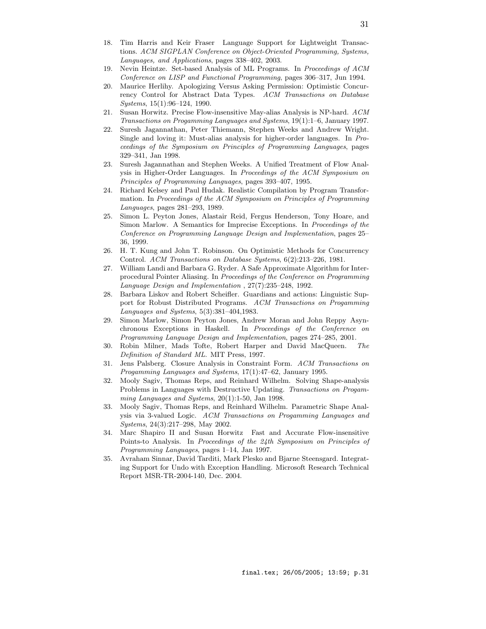- 18. Tim Harris and Keir Fraser Language Support for Lightweight Transactions. ACM SIGPLAN Conference on Object-Oriented Programming, Systems, Languages, and Applications, pages 338–402, 2003.
- 19. Nevin Heintze. Set-based Analysis of ML Programs. In Proceedings of ACM Conference on LISP and Functional Programming, pages 306–317, Jun 1994.
- 20. Maurice Herlihy. Apologizing Versus Asking Permission: Optimistic Concurrency Control for Abstract Data Types. ACM Transactions on Database Systems, 15(1):96–124, 1990.
- 21. Susan Horwitz. Precise Flow-insensitive May-alias Analysis is NP-hard. ACM Transactions on Progamming Languages and Systems, 19(1):1–6, January 1997.
- 22. Suresh Jagannathan, Peter Thiemann, Stephen Weeks and Andrew Wright. Single and loving it: Must-alias analysis for higher-order languages. In Proceedings of the Symposium on Principles of Programming Languages, pages 329–341, Jan 1998.
- 23. Suresh Jagannathan and Stephen Weeks. A Unified Treatment of Flow Analysis in Higher-Order Languages. In Proceedings of the ACM Symposium on Principles of Programming Languages, pages 393–407, 1995.
- 24. Richard Kelsey and Paul Hudak. Realistic Compilation by Program Transformation. In Proceedings of the ACM Symposium on Principles of Programming Languages, pages 281–293, 1989.
- 25. Simon L. Peyton Jones, Alastair Reid, Fergus Henderson, Tony Hoare, and Simon Marlow. A Semantics for Imprecise Exceptions. In Proceedings of the Conference on Programming Language Design and Implementation, pages 25– 36, 1999.
- 26. H. T. Kung and John T. Robinson. On Optimistic Methods for Concurrency Control. ACM Transactions on Database Systems, 6(2):213–226, 1981.
- 27. William Landi and Barbara G. Ryder. A Safe Approximate Algorithm for Interprocedural Pointer Aliasing. In Proceedings of the Conference on Programming Language Design and Implementation , 27(7):235–248, 1992.
- 28. Barbara Liskov and Robert Scheifler. Guardians and actions: Linguistic Support for Robust Distributed Programs. ACM Transactions on Progamming Languages and Systems, 5(3):381–404,1983.
- 29. Simon Marlow, Simon Peyton Jones, Andrew Moran and John Reppy Asynchronous Exceptions in Haskell. In Proceedings of the Conference on Programming Language Design and Implementation, pages 274–285, 2001.
- 30. Robin Milner, Mads Tofte, Robert Harper and David MacQueen. The Definition of Standard ML. MIT Press, 1997.
- 31. Jens Palsberg. Closure Analysis in Constraint Form. ACM Transactions on Progamming Languages and Systems, 17(1):47–62, January 1995.
- 32. Mooly Sagiv, Thomas Reps, and Reinhard Wilhelm. Solving Shape-analysis Problems in Languages with Destructive Updating. Transactions on Progamming Languages and Systems, 20(1):1-50, Jan 1998.
- 33. Mooly Sagiv, Thomas Reps, and Reinhard Wilhelm. Parametric Shape Analysis via 3-valued Logic. ACM Transactions on Progamming Languages and Systems, 24(3):217–298, May 2002.
- 34. Marc Shapiro II and Susan Horwitz Fast and Accurate Flow-insensitive Points-to Analysis. In Proceedings of the 24th Symposium on Principles of Programming Languages, pages 1–14, Jan 1997.
- 35. Avraham Sinnar, David Tarditi, Mark Plesko and Bjarne Steensgard. Integrating Support for Undo with Exception Handling. Microsoft Research Technical Report MSR-TR-2004-140, Dec. 2004.